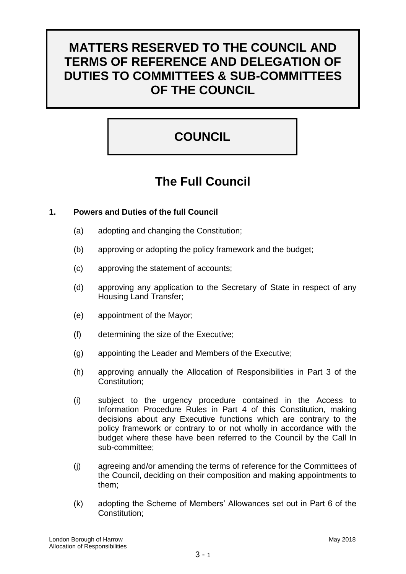# **MATTERS RESERVED TO THE COUNCIL AND TERMS OF REFERENCE AND DELEGATION OF DUTIES TO COMMITTEES & SUB-COMMITTEES OF THE COUNCIL**

# **COUNCIL**

# **The Full Council**

# **1. Powers and Duties of the full Council**

- (a) adopting and changing the Constitution;
- (b) approving or adopting the policy framework and the budget;
- (c) approving the statement of accounts;
- (d) approving any application to the Secretary of State in respect of any Housing Land Transfer;
- (e) appointment of the Mayor;
- (f) determining the size of the Executive;
- (g) appointing the Leader and Members of the Executive;
- (h) approving annually the Allocation of Responsibilities in Part 3 of the Constitution;
- (i) subject to the urgency procedure contained in the Access to Information Procedure Rules in Part 4 of this Constitution, making decisions about any Executive functions which are contrary to the policy framework or contrary to or not wholly in accordance with the budget where these have been referred to the Council by the Call In sub-committee;
- (j) agreeing and/or amending the terms of reference for the Committees of the Council, deciding on their composition and making appointments to them;
- (k) adopting the Scheme of Members' Allowances set out in Part 6 of the Constitution;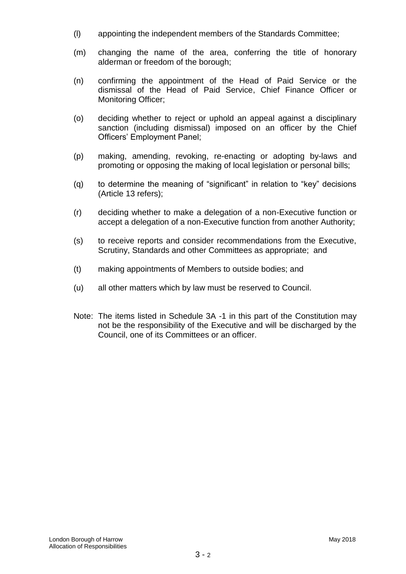- (l) appointing the independent members of the Standards Committee;
- (m) changing the name of the area, conferring the title of honorary alderman or freedom of the borough;
- (n) confirming the appointment of the Head of Paid Service or the dismissal of the Head of Paid Service, Chief Finance Officer or Monitoring Officer;
- (o) deciding whether to reject or uphold an appeal against a disciplinary sanction (including dismissal) imposed on an officer by the Chief Officers' Employment Panel;
- (p) making, amending, revoking, re-enacting or adopting by-laws and promoting or opposing the making of local legislation or personal bills;
- (q) to determine the meaning of "significant" in relation to "key" decisions (Article 13 refers);
- (r) deciding whether to make a delegation of a non-Executive function or accept a delegation of a non-Executive function from another Authority;
- (s) to receive reports and consider recommendations from the Executive, Scrutiny, Standards and other Committees as appropriate; and
- (t) making appointments of Members to outside bodies; and
- (u) all other matters which by law must be reserved to Council.
- Note: The items listed in Schedule 3A -1 in this part of the Constitution may not be the responsibility of the Executive and will be discharged by the Council, one of its Committees or an officer.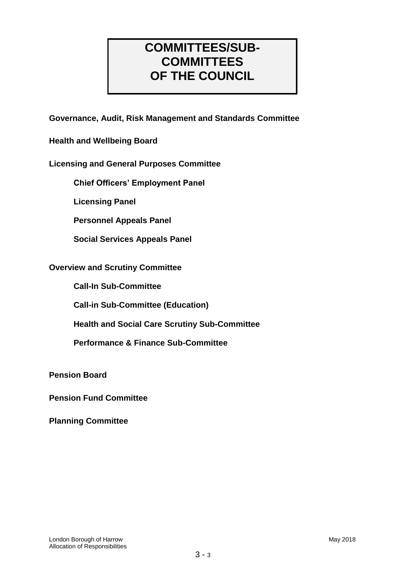# **COMMITTEES/SUB-COMMITTEES OF THE COUNCIL**

**Governance, Audit, Risk Management and Standards Committee**

**Health and Wellbeing Board**

# **Licensing and General Purposes Committee**

**Chief Officers' Employment Panel**

**Licensing Panel**

**Personnel Appeals Panel**

**Social Services Appeals Panel**

## **Overview and Scrutiny Committee**

**Call-In Sub-Committee**

**Call-in Sub-Committee (Education)**

**Health and Social Care Scrutiny Sub-Committee**

**Performance & Finance Sub-Committee**

**Pension Board**

**Pension Fund Committee**

**Planning Committee**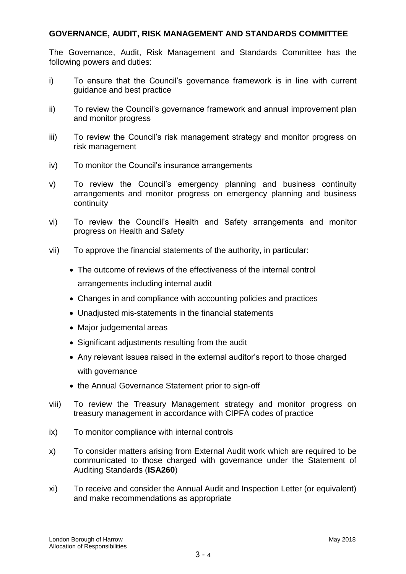## **GOVERNANCE, AUDIT, RISK MANAGEMENT AND STANDARDS COMMITTEE**

The Governance, Audit, Risk Management and Standards Committee has the following powers and duties:

- i) To ensure that the Council's governance framework is in line with current guidance and best practice
- ii) To review the Council's governance framework and annual improvement plan and monitor progress
- iii) To review the Council's risk management strategy and monitor progress on risk management
- iv) To monitor the Council's insurance arrangements
- v) To review the Council's emergency planning and business continuity arrangements and monitor progress on emergency planning and business continuity
- vi) To review the Council's Health and Safety arrangements and monitor progress on Health and Safety
- vii) To approve the financial statements of the authority, in particular:
	- The outcome of reviews of the effectiveness of the internal control arrangements including internal audit
	- Changes in and compliance with accounting policies and practices
	- Unadjusted mis-statements in the financial statements
	- Major judgemental areas
	- Significant adjustments resulting from the audit
	- Any relevant issues raised in the external auditor's report to those charged with governance
	- the Annual Governance Statement prior to sign-off
- viii) To review the Treasury Management strategy and monitor progress on treasury management in accordance with CIPFA codes of practice
- ix) To monitor compliance with internal controls
- x) To consider matters arising from External Audit work which are required to be communicated to those charged with governance under the Statement of Auditing Standards (**ISA260**)
- xi) To receive and consider the Annual Audit and Inspection Letter (or equivalent) and make recommendations as appropriate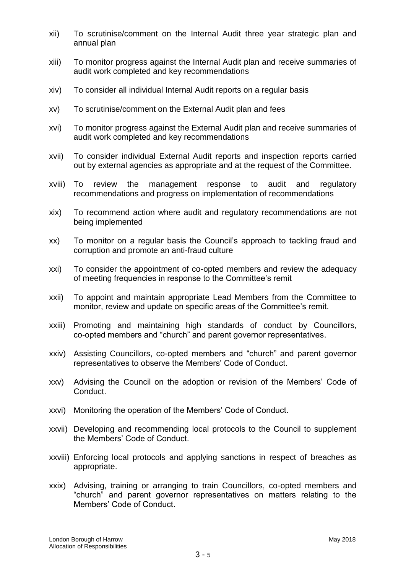- xii) To scrutinise/comment on the Internal Audit three year strategic plan and annual plan
- xiii) To monitor progress against the Internal Audit plan and receive summaries of audit work completed and key recommendations
- xiv) To consider all individual Internal Audit reports on a regular basis
- xv) To scrutinise/comment on the External Audit plan and fees
- xvi) To monitor progress against the External Audit plan and receive summaries of audit work completed and key recommendations
- xvii) To consider individual External Audit reports and inspection reports carried out by external agencies as appropriate and at the request of the Committee.
- xviii) To review the management response to audit and regulatory recommendations and progress on implementation of recommendations
- xix) To recommend action where audit and regulatory recommendations are not being implemented
- xx) To monitor on a regular basis the Council's approach to tackling fraud and corruption and promote an anti-fraud culture
- xxi) To consider the appointment of co-opted members and review the adequacy of meeting frequencies in response to the Committee's remit
- xxii) To appoint and maintain appropriate Lead Members from the Committee to monitor, review and update on specific areas of the Committee's remit.
- xxiii) Promoting and maintaining high standards of conduct by Councillors, co-opted members and "church" and parent governor representatives.
- xxiv) Assisting Councillors, co-opted members and "church" and parent governor representatives to observe the Members' Code of Conduct.
- xxv) Advising the Council on the adoption or revision of the Members' Code of Conduct.
- xxvi) Monitoring the operation of the Members' Code of Conduct.
- xxvii) Developing and recommending local protocols to the Council to supplement the Members' Code of Conduct.
- xxviii) Enforcing local protocols and applying sanctions in respect of breaches as appropriate.
- xxix) Advising, training or arranging to train Councillors, co-opted members and "church" and parent governor representatives on matters relating to the Members' Code of Conduct.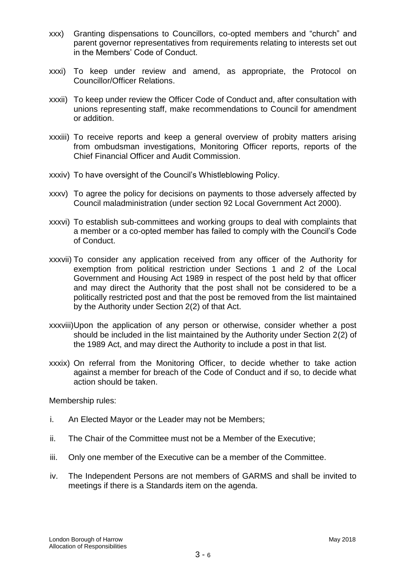- xxx) Granting dispensations to Councillors, co-opted members and "church" and parent governor representatives from requirements relating to interests set out in the Members' Code of Conduct.
- xxxi) To keep under review and amend, as appropriate, the Protocol on Councillor/Officer Relations.
- xxxii) To keep under review the Officer Code of Conduct and, after consultation with unions representing staff, make recommendations to Council for amendment or addition.
- xxxiii) To receive reports and keep a general overview of probity matters arising from ombudsman investigations, Monitoring Officer reports, reports of the Chief Financial Officer and Audit Commission.
- xxxiv) To have oversight of the Council's Whistleblowing Policy.
- xxxv) To agree the policy for decisions on payments to those adversely affected by Council maladministration (under section 92 Local Government Act 2000).
- xxxvi) To establish sub-committees and working groups to deal with complaints that a member or a co-opted member has failed to comply with the Council's Code of Conduct.
- xxxvii) To consider any application received from any officer of the Authority for exemption from political restriction under Sections 1 and 2 of the Local Government and Housing Act 1989 in respect of the post held by that officer and may direct the Authority that the post shall not be considered to be a politically restricted post and that the post be removed from the list maintained by the Authority under Section 2(2) of that Act.
- xxxviii)Upon the application of any person or otherwise, consider whether a post should be included in the list maintained by the Authority under Section 2(2) of the 1989 Act, and may direct the Authority to include a post in that list.
- xxxix) On referral from the Monitoring Officer, to decide whether to take action against a member for breach of the Code of Conduct and if so, to decide what action should be taken.

Membership rules:

- i. An Elected Mayor or the Leader may not be Members;
- ii. The Chair of the Committee must not be a Member of the Executive;
- iii. Only one member of the Executive can be a member of the Committee.
- iv. The Independent Persons are not members of GARMS and shall be invited to meetings if there is a Standards item on the agenda.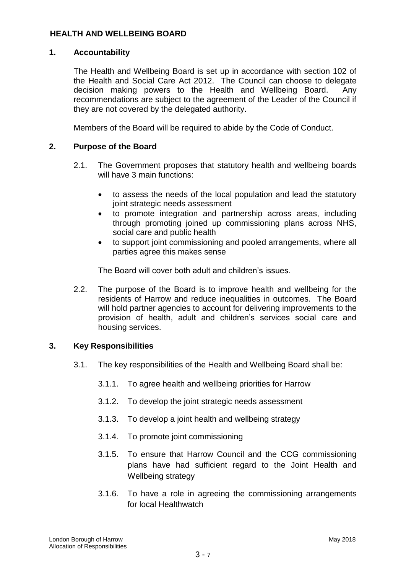## **HEALTH AND WELLBEING BOARD**

## **1. Accountability**

The Health and Wellbeing Board is set up in accordance with section 102 of the Health and Social Care Act 2012. The Council can choose to delegate decision making powers to the Health and Wellbeing Board. Any recommendations are subject to the agreement of the Leader of the Council if they are not covered by the delegated authority.

Members of the Board will be required to abide by the Code of Conduct.

# **2. Purpose of the Board**

- 2.1. The Government proposes that statutory health and wellbeing boards will have 3 main functions:
	- to assess the needs of the local population and lead the statutory joint strategic needs assessment
	- to promote integration and partnership across areas, including through promoting joined up commissioning plans across NHS, social care and public health
	- to support joint commissioning and pooled arrangements, where all parties agree this makes sense

The Board will cover both adult and children's issues.

2.2. The purpose of the Board is to improve health and wellbeing for the residents of Harrow and reduce inequalities in outcomes. The Board will hold partner agencies to account for delivering improvements to the provision of health, adult and children's services social care and housing services.

## **3. Key Responsibilities**

- 3.1. The key responsibilities of the Health and Wellbeing Board shall be:
	- 3.1.1. To agree health and wellbeing priorities for Harrow
	- 3.1.2. To develop the joint strategic needs assessment
	- 3.1.3. To develop a joint health and wellbeing strategy
	- 3.1.4. To promote joint commissioning
	- 3.1.5. To ensure that Harrow Council and the CCG commissioning plans have had sufficient regard to the Joint Health and Wellbeing strategy
	- 3.1.6. To have a role in agreeing the commissioning arrangements for local Healthwatch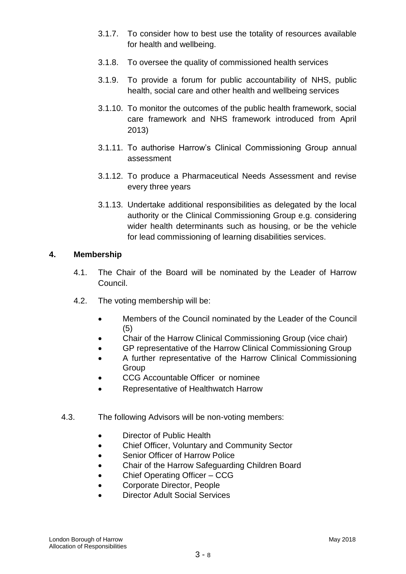- 3.1.7. To consider how to best use the totality of resources available for health and wellbeing.
- 3.1.8. To oversee the quality of commissioned health services
- 3.1.9. To provide a forum for public accountability of NHS, public health, social care and other health and wellbeing services
- 3.1.10. To monitor the outcomes of the public health framework, social care framework and NHS framework introduced from April 2013)
- 3.1.11. To authorise Harrow's Clinical Commissioning Group annual assessment
- 3.1.12. To produce a Pharmaceutical Needs Assessment and revise every three years
- 3.1.13. Undertake additional responsibilities as delegated by the local authority or the Clinical Commissioning Group e.g. considering wider health determinants such as housing, or be the vehicle for lead commissioning of learning disabilities services.

## **4. Membership**

- 4.1. The Chair of the Board will be nominated by the Leader of Harrow Council.
- 4.2. The voting membership will be:
	- Members of the Council nominated by the Leader of the Council (5)
	- Chair of the Harrow Clinical Commissioning Group (vice chair)
	- GP representative of the Harrow Clinical Commissioning Group
	- A further representative of the Harrow Clinical Commissioning **Group**
	- CCG Accountable Officer or nominee
	- Representative of Healthwatch Harrow
- 4.3. The following Advisors will be non-voting members:
	- Director of Public Health
	- Chief Officer, Voluntary and Community Sector
	- Senior Officer of Harrow Police
	- Chair of the Harrow Safeguarding Children Board
	- Chief Operating Officer CCG
	- Corporate Director, People
	- Director Adult Social Services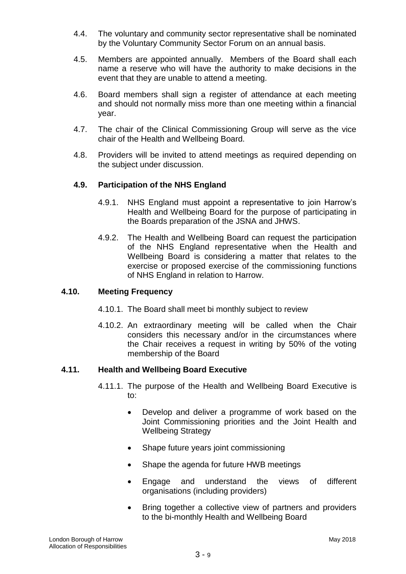- 4.4. The voluntary and community sector representative shall be nominated by the Voluntary Community Sector Forum on an annual basis.
- 4.5. Members are appointed annually. Members of the Board shall each name a reserve who will have the authority to make decisions in the event that they are unable to attend a meeting.
- 4.6. Board members shall sign a register of attendance at each meeting and should not normally miss more than one meeting within a financial year.
- 4.7. The chair of the Clinical Commissioning Group will serve as the vice chair of the Health and Wellbeing Board.
- 4.8. Providers will be invited to attend meetings as required depending on the subject under discussion.

## **4.9. Participation of the NHS England**

- 4.9.1. NHS England must appoint a representative to join Harrow's Health and Wellbeing Board for the purpose of participating in the Boards preparation of the JSNA and JHWS.
- 4.9.2. The Health and Wellbeing Board can request the participation of the NHS England representative when the Health and Wellbeing Board is considering a matter that relates to the exercise or proposed exercise of the commissioning functions of NHS England in relation to Harrow.

## **4.10. Meeting Frequency**

- 4.10.1. The Board shall meet bi monthly subject to review
- 4.10.2. An extraordinary meeting will be called when the Chair considers this necessary and/or in the circumstances where the Chair receives a request in writing by 50% of the voting membership of the Board

## **4.11. Health and Wellbeing Board Executive**

- 4.11.1. The purpose of the Health and Wellbeing Board Executive is to:
	- Develop and deliver a programme of work based on the Joint Commissioning priorities and the Joint Health and Wellbeing Strategy
	- Shape future years joint commissioning
	- Shape the agenda for future HWB meetings
	- Engage and understand the views of different organisations (including providers)
	- Bring together a collective view of partners and providers to the bi-monthly Health and Wellbeing Board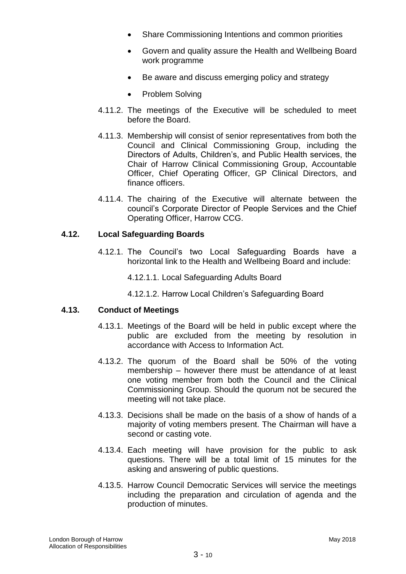- Share Commissioning Intentions and common priorities
- Govern and quality assure the Health and Wellbeing Board work programme
- Be aware and discuss emerging policy and strategy
- Problem Solving
- 4.11.2. The meetings of the Executive will be scheduled to meet before the Board.
- 4.11.3. Membership will consist of senior representatives from both the Council and Clinical Commissioning Group, including the Directors of Adults, Children's, and Public Health services, the Chair of Harrow Clinical Commissioning Group, Accountable Officer, Chief Operating Officer, GP Clinical Directors, and finance officers.
- 4.11.4. The chairing of the Executive will alternate between the council's Corporate Director of People Services and the Chief Operating Officer, Harrow CCG.

# **4.12. Local Safeguarding Boards**

- 4.12.1. The Council's two Local Safeguarding Boards have a horizontal link to the Health and Wellbeing Board and include:
	- 4.12.1.1. Local Safeguarding Adults Board
	- 4.12.1.2. Harrow Local Children's Safeguarding Board

## **4.13. Conduct of Meetings**

- 4.13.1. Meetings of the Board will be held in public except where the public are excluded from the meeting by resolution in accordance with Access to Information Act.
- 4.13.2. The quorum of the Board shall be 50% of the voting membership – however there must be attendance of at least one voting member from both the Council and the Clinical Commissioning Group. Should the quorum not be secured the meeting will not take place.
- 4.13.3. Decisions shall be made on the basis of a show of hands of a majority of voting members present. The Chairman will have a second or casting vote.
- 4.13.4. Each meeting will have provision for the public to ask questions. There will be a total limit of 15 minutes for the asking and answering of public questions.
- 4.13.5. Harrow Council Democratic Services will service the meetings including the preparation and circulation of agenda and the production of minutes.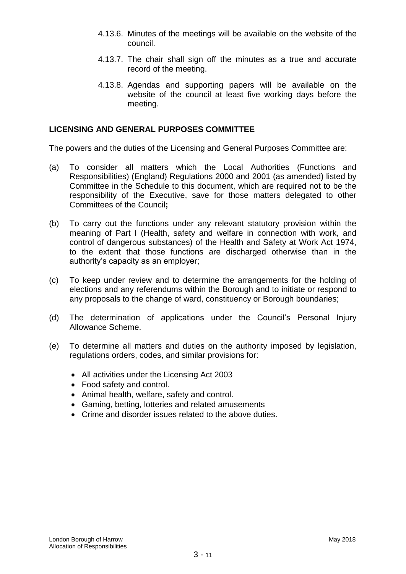- 4.13.6. Minutes of the meetings will be available on the website of the council.
- 4.13.7. The chair shall sign off the minutes as a true and accurate record of the meeting.
- 4.13.8. Agendas and supporting papers will be available on the website of the council at least five working days before the meeting.

#### **LICENSING AND GENERAL PURPOSES COMMITTEE**

The powers and the duties of the Licensing and General Purposes Committee are:

- (a) To consider all matters which the Local Authorities (Functions and Responsibilities) (England) Regulations 2000 and 2001 (as amended) listed by Committee in the Schedule to this document, which are required not to be the responsibility of the Executive, save for those matters delegated to other Committees of the Council**;**
- (b) To carry out the functions under any relevant statutory provision within the meaning of Part I (Health, safety and welfare in connection with work, and control of dangerous substances) of the Health and Safety at Work Act 1974, to the extent that those functions are discharged otherwise than in the authority's capacity as an employer;
- (c) To keep under review and to determine the arrangements for the holding of elections and any referendums within the Borough and to initiate or respond to any proposals to the change of ward, constituency or Borough boundaries;
- (d) The determination of applications under the Council's Personal Injury Allowance Scheme.
- (e) To determine all matters and duties on the authority imposed by legislation, regulations orders, codes, and similar provisions for:
	- All activities under the Licensing Act 2003
	- Food safety and control.
	- Animal health, welfare, safety and control.
	- Gaming, betting, lotteries and related amusements
	- Crime and disorder issues related to the above duties.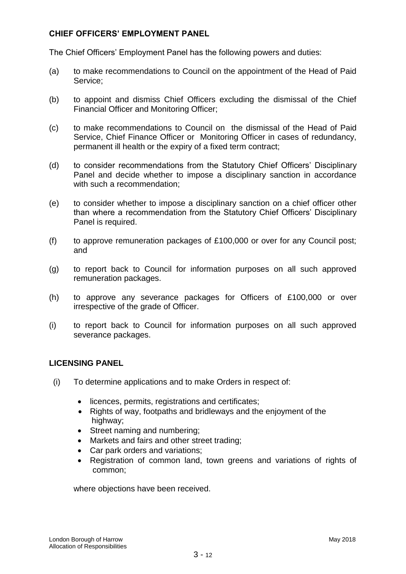# **CHIEF OFFICERS' EMPLOYMENT PANEL**

The Chief Officers' Employment Panel has the following powers and duties:

- (a) to make recommendations to Council on the appointment of the Head of Paid Service;
- (b) to appoint and dismiss Chief Officers excluding the dismissal of the Chief Financial Officer and Monitoring Officer;
- (c) to make recommendations to Council on the dismissal of the Head of Paid Service, Chief Finance Officer or Monitoring Officer in cases of redundancy, permanent ill health or the expiry of a fixed term contract;
- (d) to consider recommendations from the Statutory Chief Officers' Disciplinary Panel and decide whether to impose a disciplinary sanction in accordance with such a recommendation;
- (e) to consider whether to impose a disciplinary sanction on a chief officer other than where a recommendation from the Statutory Chief Officers' Disciplinary Panel is required.
- (f) to approve remuneration packages of £100,000 or over for any Council post; and
- (g) to report back to Council for information purposes on all such approved remuneration packages.
- (h) to approve any severance packages for Officers of £100,000 or over irrespective of the grade of Officer.
- (i) to report back to Council for information purposes on all such approved severance packages.

## **LICENSING PANEL**

- (i) To determine applications and to make Orders in respect of:
	- licences, permits, registrations and certificates;
	- Rights of way, footpaths and bridleways and the enjoyment of the highway;
	- Street naming and numbering;
	- Markets and fairs and other street trading;
	- Car park orders and variations;
	- Registration of common land, town greens and variations of rights of common;

where objections have been received.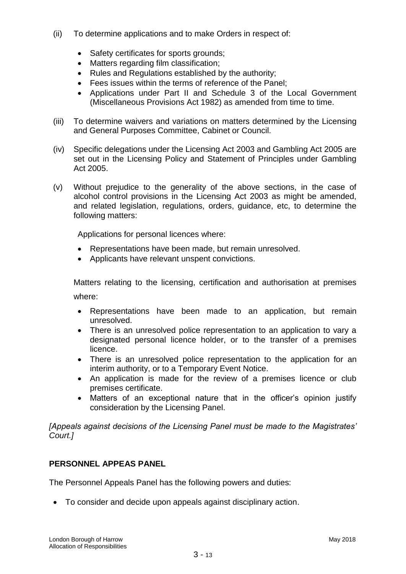- (ii) To determine applications and to make Orders in respect of:
	- Safety certificates for sports grounds;
	- Matters regarding film classification;
	- Rules and Regulations established by the authority:
	- Fees issues within the terms of reference of the Panel;
	- Applications under Part II and Schedule 3 of the Local Government (Miscellaneous Provisions Act 1982) as amended from time to time.
- (iii) To determine waivers and variations on matters determined by the Licensing and General Purposes Committee, Cabinet or Council.
- (iv) Specific delegations under the Licensing Act 2003 and Gambling Act 2005 are set out in the Licensing Policy and Statement of Principles under Gambling Act 2005.
- (v) Without prejudice to the generality of the above sections, in the case of alcohol control provisions in the Licensing Act 2003 as might be amended, and related legislation, regulations, orders, guidance, etc, to determine the following matters:

Applications for personal licences where:

- Representations have been made, but remain unresolved.
- Applicants have relevant unspent convictions.

Matters relating to the licensing, certification and authorisation at premises where:

- Representations have been made to an application, but remain unresolved.
- There is an unresolved police representation to an application to vary a designated personal licence holder, or to the transfer of a premises licence.
- There is an unresolved police representation to the application for an interim authority, or to a Temporary Event Notice.
- An application is made for the review of a premises licence or club premises certificate.
- Matters of an exceptional nature that in the officer's opinion justify consideration by the Licensing Panel.

*[Appeals against decisions of the Licensing Panel must be made to the Magistrates' Court.]*

# **PERSONNEL APPEAS PANEL**

The Personnel Appeals Panel has the following powers and duties:

To consider and decide upon appeals against disciplinary action.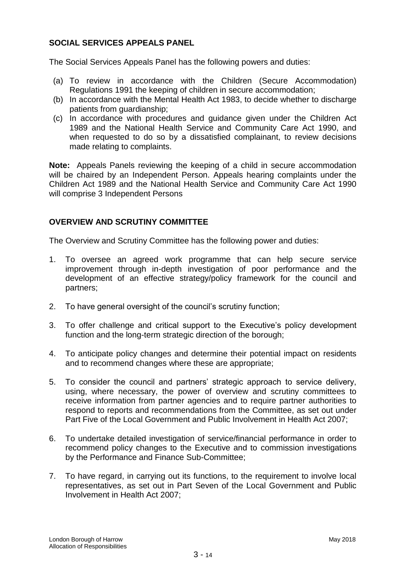# **SOCIAL SERVICES APPEALS PANEL**

The Social Services Appeals Panel has the following powers and duties:

- (a) To review in accordance with the Children (Secure Accommodation) Regulations 1991 the keeping of children in secure accommodation;
- (b) In accordance with the Mental Health Act 1983, to decide whether to discharge patients from guardianship;
- (c) In accordance with procedures and guidance given under the Children Act 1989 and the National Health Service and Community Care Act 1990, and when requested to do so by a dissatisfied complainant, to review decisions made relating to complaints.

**Note:** Appeals Panels reviewing the keeping of a child in secure accommodation will be chaired by an Independent Person. Appeals hearing complaints under the Children Act 1989 and the National Health Service and Community Care Act 1990 will comprise 3 Independent Persons

## **OVERVIEW AND SCRUTINY COMMITTEE**

The Overview and Scrutiny Committee has the following power and duties:

- 1. To oversee an agreed work programme that can help secure service improvement through in-depth investigation of poor performance and the development of an effective strategy/policy framework for the council and partners;
- 2. To have general oversight of the council's scrutiny function;
- 3. To offer challenge and critical support to the Executive's policy development function and the long-term strategic direction of the borough;
- 4. To anticipate policy changes and determine their potential impact on residents and to recommend changes where these are appropriate;
- 5. To consider the council and partners' strategic approach to service delivery, using, where necessary, the power of overview and scrutiny committees to receive information from partner agencies and to require partner authorities to respond to reports and recommendations from the Committee, as set out under Part Five of the Local Government and Public Involvement in Health Act 2007;
- 6. To undertake detailed investigation of service/financial performance in order to recommend policy changes to the Executive and to commission investigations by the Performance and Finance Sub-Committee;
- 7. To have regard, in carrying out its functions, to the requirement to involve local representatives, as set out in Part Seven of the Local Government and Public Involvement in Health Act 2007;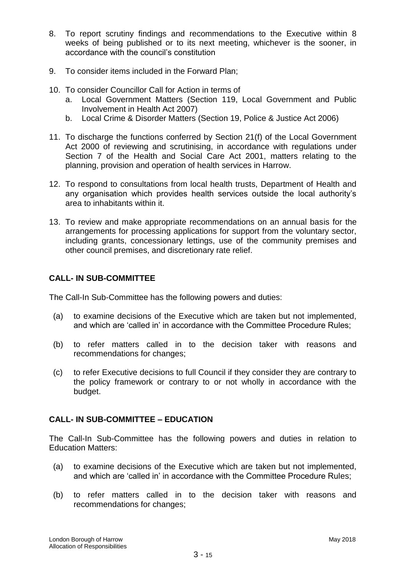- 8. To report scrutiny findings and recommendations to the Executive within 8 weeks of being published or to its next meeting, whichever is the sooner, in accordance with the council's constitution
- 9. To consider items included in the Forward Plan;
- 10. To consider Councillor Call for Action in terms of
	- a. Local Government Matters (Section 119, Local Government and Public Involvement in Health Act 2007)
	- b. Local Crime & Disorder Matters (Section 19, Police & Justice Act 2006)
- 11. To discharge the functions conferred by Section 21(f) of the Local Government Act 2000 of reviewing and scrutinising, in accordance with regulations under Section 7 of the Health and Social Care Act 2001, matters relating to the planning, provision and operation of health services in Harrow.
- 12. To respond to consultations from local health trusts, Department of Health and any organisation which provides health services outside the local authority's area to inhabitants within it.
- 13. To review and make appropriate recommendations on an annual basis for the arrangements for processing applications for support from the voluntary sector, including grants, concessionary lettings, use of the community premises and other council premises, and discretionary rate relief.

# **CALL- IN SUB-COMMITTEE**

The Call-In Sub-Committee has the following powers and duties:

- (a) to examine decisions of the Executive which are taken but not implemented, and which are 'called in' in accordance with the Committee Procedure Rules;
- (b) to refer matters called in to the decision taker with reasons and recommendations for changes;
- (c) to refer Executive decisions to full Council if they consider they are contrary to the policy framework or contrary to or not wholly in accordance with the budget.

# **CALL- IN SUB-COMMITTEE – EDUCATION**

The Call-In Sub-Committee has the following powers and duties in relation to Education Matters:

- (a) to examine decisions of the Executive which are taken but not implemented, and which are 'called in' in accordance with the Committee Procedure Rules;
- (b) to refer matters called in to the decision taker with reasons and recommendations for changes;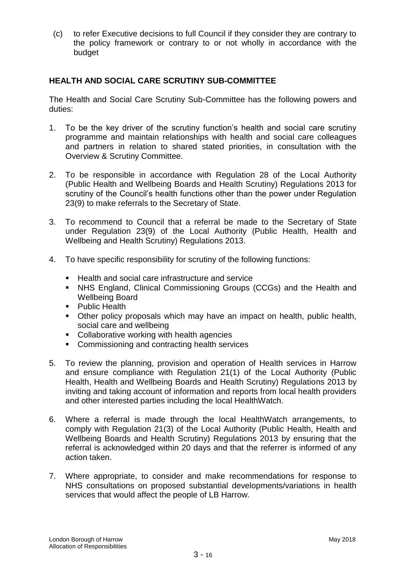(c) to refer Executive decisions to full Council if they consider they are contrary to the policy framework or contrary to or not wholly in accordance with the budget

# **HEALTH AND SOCIAL CARE SCRUTINY SUB-COMMITTEE**

The Health and Social Care Scrutiny Sub-Committee has the following powers and duties:

- 1. To be the key driver of the scrutiny function's health and social care scrutiny programme and maintain relationships with health and social care colleagues and partners in relation to shared stated priorities, in consultation with the Overview & Scrutiny Committee.
- 2. To be responsible in accordance with Regulation 28 of the Local Authority (Public Health and Wellbeing Boards and Health Scrutiny) Regulations 2013 for scrutiny of the Council's health functions other than the power under Regulation 23(9) to make referrals to the Secretary of State.
- 3. To recommend to Council that a referral be made to the Secretary of State under Regulation 23(9) of the Local Authority (Public Health, Health and Wellbeing and Health Scrutiny) Regulations 2013.
- 4. To have specific responsibility for scrutiny of the following functions:
	- Health and social care infrastructure and service
	- NHS England, Clinical Commissioning Groups (CCGs) and the Health and Wellbeing Board
	- **Public Health**
	- Other policy proposals which may have an impact on health, public health, social care and wellbeing
	- Collaborative working with health agencies
	- **Commissioning and contracting health services**
- 5. To review the planning, provision and operation of Health services in Harrow and ensure compliance with Regulation 21(1) of the Local Authority (Public Health, Health and Wellbeing Boards and Health Scrutiny) Regulations 2013 by inviting and taking account of information and reports from local health providers and other interested parties including the local HealthWatch.
- 6. Where a referral is made through the local HealthWatch arrangements, to comply with Regulation 21(3) of the Local Authority (Public Health, Health and Wellbeing Boards and Health Scrutiny) Regulations 2013 by ensuring that the referral is acknowledged within 20 days and that the referrer is informed of any action taken.
- 7. Where appropriate, to consider and make recommendations for response to NHS consultations on proposed substantial developments/variations in health services that would affect the people of LB Harrow.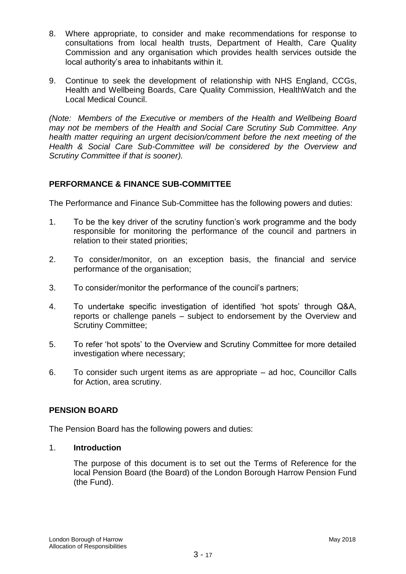- 8. Where appropriate, to consider and make recommendations for response to consultations from local health trusts, Department of Health, Care Quality Commission and any organisation which provides health services outside the local authority's area to inhabitants within it.
- 9. Continue to seek the development of relationship with NHS England, CCGs, Health and Wellbeing Boards, Care Quality Commission, HealthWatch and the Local Medical Council.

*(Note: Members of the Executive or members of the Health and Wellbeing Board may not be members of the Health and Social Care Scrutiny Sub Committee. Any health matter requiring an urgent decision/comment before the next meeting of the Health & Social Care Sub-Committee will be considered by the Overview and Scrutiny Committee if that is sooner).*

# **PERFORMANCE & FINANCE SUB-COMMITTEE**

The Performance and Finance Sub-Committee has the following powers and duties:

- 1. To be the key driver of the scrutiny function's work programme and the body responsible for monitoring the performance of the council and partners in relation to their stated priorities;
- 2. To consider/monitor, on an exception basis, the financial and service performance of the organisation;
- 3. To consider/monitor the performance of the council's partners;
- 4. To undertake specific investigation of identified 'hot spots' through Q&A, reports or challenge panels – subject to endorsement by the Overview and Scrutiny Committee;
- 5. To refer 'hot spots' to the Overview and Scrutiny Committee for more detailed investigation where necessary;
- 6. To consider such urgent items as are appropriate ad hoc, Councillor Calls for Action, area scrutiny.

## **PENSION BOARD**

The Pension Board has the following powers and duties:

## 1. **Introduction**

The purpose of this document is to set out the Terms of Reference for the local Pension Board (the Board) of the London Borough Harrow Pension Fund (the Fund).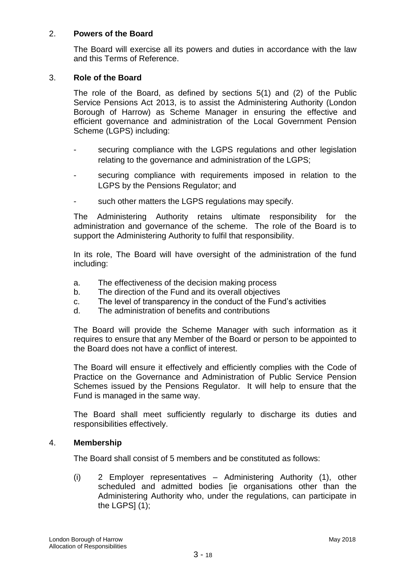## 2. **Powers of the Board**

The Board will exercise all its powers and duties in accordance with the law and this Terms of Reference.

#### 3. **Role of the Board**

The role of the Board, as defined by sections 5(1) and (2) of the Public Service Pensions Act 2013, is to assist the Administering Authority (London Borough of Harrow) as Scheme Manager in ensuring the effective and efficient governance and administration of the Local Government Pension Scheme (LGPS) including:

- securing compliance with the LGPS regulations and other legislation relating to the governance and administration of the LGPS;
- securing compliance with requirements imposed in relation to the LGPS by the Pensions Regulator; and
- such other matters the LGPS regulations may specify.

The Administering Authority retains ultimate responsibility for the administration and governance of the scheme. The role of the Board is to support the Administering Authority to fulfil that responsibility.

In its role, The Board will have oversight of the administration of the fund including:

- a. The effectiveness of the decision making process
- b. The direction of the Fund and its overall objectives
- c. The level of transparency in the conduct of the Fund's activities
- d. The administration of benefits and contributions

The Board will provide the Scheme Manager with such information as it requires to ensure that any Member of the Board or person to be appointed to the Board does not have a conflict of interest.

The Board will ensure it effectively and efficiently complies with the Code of Practice on the Governance and Administration of Public Service Pension Schemes issued by the Pensions Regulator. It will help to ensure that the Fund is managed in the same way.

The Board shall meet sufficiently regularly to discharge its duties and responsibilities effectively.

#### 4. **Membership**

The Board shall consist of 5 members and be constituted as follows:

(i) 2 Employer representatives – Administering Authority (1), other scheduled and admitted bodies [ie organisations other than the Administering Authority who, under the regulations, can participate in the LGPS $(1)$ ;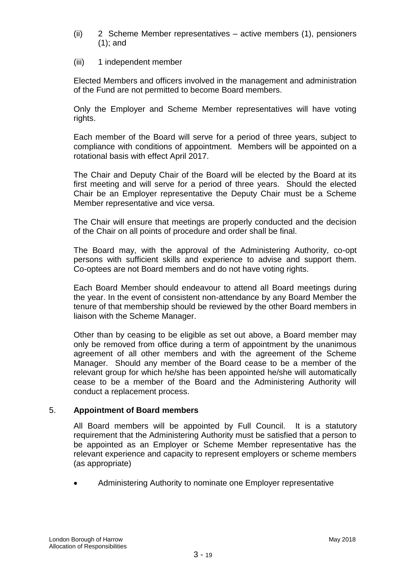- (ii) 2 Scheme Member representatives active members (1), pensioners (1); and
- (iii) 1 independent member

Elected Members and officers involved in the management and administration of the Fund are not permitted to become Board members.

Only the Employer and Scheme Member representatives will have voting rights.

Each member of the Board will serve for a period of three years, subject to compliance with conditions of appointment. Members will be appointed on a rotational basis with effect April 2017.

The Chair and Deputy Chair of the Board will be elected by the Board at its first meeting and will serve for a period of three years. Should the elected Chair be an Employer representative the Deputy Chair must be a Scheme Member representative and vice versa.

The Chair will ensure that meetings are properly conducted and the decision of the Chair on all points of procedure and order shall be final.

The Board may, with the approval of the Administering Authority, co-opt persons with sufficient skills and experience to advise and support them. Co-optees are not Board members and do not have voting rights.

Each Board Member should endeavour to attend all Board meetings during the year. In the event of consistent non-attendance by any Board Member the tenure of that membership should be reviewed by the other Board members in liaison with the Scheme Manager.

Other than by ceasing to be eligible as set out above, a Board member may only be removed from office during a term of appointment by the unanimous agreement of all other members and with the agreement of the Scheme Manager. Should any member of the Board cease to be a member of the relevant group for which he/she has been appointed he/she will automatically cease to be a member of the Board and the Administering Authority will conduct a replacement process.

## 5. **Appointment of Board members**

All Board members will be appointed by Full Council. It is a statutory requirement that the Administering Authority must be satisfied that a person to be appointed as an Employer or Scheme Member representative has the relevant experience and capacity to represent employers or scheme members (as appropriate)

Administering Authority to nominate one Employer representative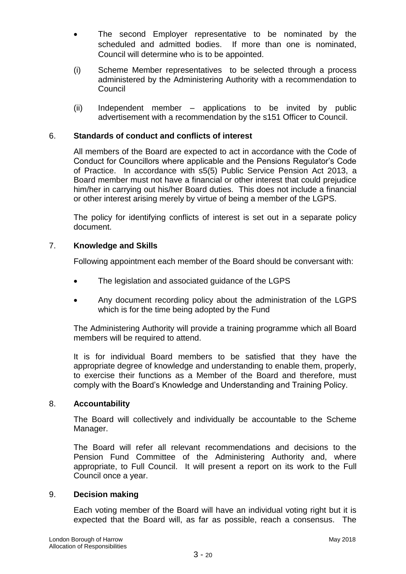- The second Employer representative to be nominated by the scheduled and admitted bodies. If more than one is nominated, Council will determine who is to be appointed.
- (i) Scheme Member representatives to be selected through a process administered by the Administering Authority with a recommendation to **Council**
- (ii) Independent member applications to be invited by public advertisement with a recommendation by the s151 Officer to Council.

# 6. **Standards of conduct and conflicts of interest**

All members of the Board are expected to act in accordance with the Code of Conduct for Councillors where applicable and the Pensions Regulator's Code of Practice. In accordance with s5(5) Public Service Pension Act 2013, a Board member must not have a financial or other interest that could prejudice him/her in carrying out his/her Board duties. This does not include a financial or other interest arising merely by virtue of being a member of the LGPS.

The policy for identifying conflicts of interest is set out in a separate policy document.

## 7. **Knowledge and Skills**

Following appointment each member of the Board should be conversant with:

- The legislation and associated guidance of the LGPS
- Any document recording policy about the administration of the LGPS which is for the time being adopted by the Fund

The Administering Authority will provide a training programme which all Board members will be required to attend.

It is for individual Board members to be satisfied that they have the appropriate degree of knowledge and understanding to enable them, properly, to exercise their functions as a Member of the Board and therefore, must comply with the Board's Knowledge and Understanding and Training Policy.

## 8. **Accountability**

The Board will collectively and individually be accountable to the Scheme Manager.

The Board will refer all relevant recommendations and decisions to the Pension Fund Committee of the Administering Authority and, where appropriate, to Full Council. It will present a report on its work to the Full Council once a year.

## 9. **Decision making**

Each voting member of the Board will have an individual voting right but it is expected that the Board will, as far as possible, reach a consensus. The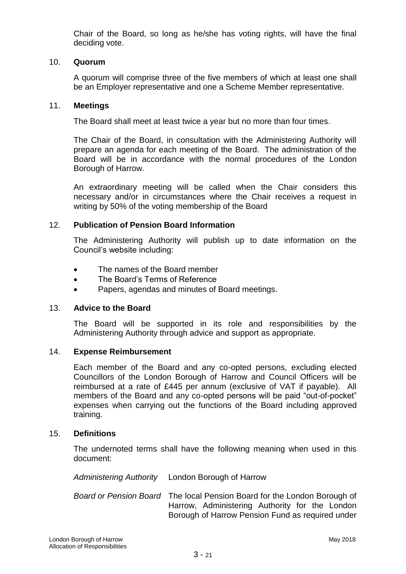Chair of the Board, so long as he/she has voting rights, will have the final deciding vote.

## 10. **Quorum**

A quorum will comprise three of the five members of which at least one shall be an Employer representative and one a Scheme Member representative.

#### 11. **Meetings**

The Board shall meet at least twice a year but no more than four times.

The Chair of the Board, in consultation with the Administering Authority will prepare an agenda for each meeting of the Board. The administration of the Board will be in accordance with the normal procedures of the London Borough of Harrow.

An extraordinary meeting will be called when the Chair considers this necessary and/or in circumstances where the Chair receives a request in writing by 50% of the voting membership of the Board

#### 12. **Publication of Pension Board Information**

The Administering Authority will publish up to date information on the Council's website including:

- The names of the Board member
- The Board's Terms of Reference
- Papers, agendas and minutes of Board meetings.

#### 13. **Advice to the Board**

The Board will be supported in its role and responsibilities by the Administering Authority through advice and support as appropriate.

#### 14. **Expense Reimbursement**

Each member of the Board and any co-opted persons, excluding elected Councillors of the London Borough of Harrow and Council Officers will be reimbursed at a rate of £445 per annum (exclusive of VAT if payable). All members of the Board and any co-opted persons will be paid "out-of-pocket" expenses when carrying out the functions of the Board including approved training.

#### 15. **Definitions**

The undernoted terms shall have the following meaning when used in this document:

*Administering Authority* London Borough of Harrow

*Board or Pension Board* The local Pension Board for the London Borough of Harrow, Administering Authority for the London Borough of Harrow Pension Fund as required under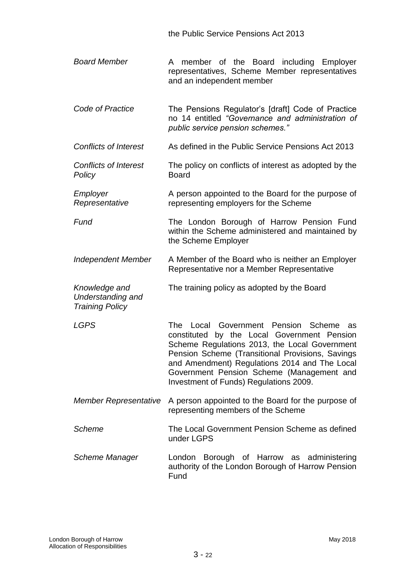the Public Service Pensions Act 2013

- *Board Member* A member of the Board including Employer representatives, Scheme Member representatives and an independent member
- *Code of Practice* The Pensions Regulator's [draft] Code of Practice no 14 entitled *"Governance and administration of public service pension schemes."*
- *Conflicts of Interest* As defined in the Public Service Pensions Act 2013
- *Conflicts of Interest Policy* The policy on conflicts of interest as adopted by the Board
- *Employer Representative* A person appointed to the Board for the purpose of representing employers for the Scheme

**Fund The London Borough of Harrow Pension Fund** within the Scheme administered and maintained by the Scheme Employer

- *Independent Member* A Member of the Board who is neither an Employer Representative nor a Member Representative
- *Knowledge and Understanding and*  The training policy as adopted by the Board

*Training Policy*

*LGPS* The Local Government Pension Scheme as constituted by the Local Government Pension Scheme Regulations 2013, the Local Government Pension Scheme (Transitional Provisions, Savings and Amendment) Regulations 2014 and The Local Government Pension Scheme (Management and Investment of Funds) Regulations 2009.

- *Member Representative* A person appointed to the Board for the purpose of representing members of the Scheme
- *Scheme* The Local Government Pension Scheme as defined under LGPS
- *Scheme Manager* London Borough of Harrow as administering authority of the London Borough of Harrow Pension Fund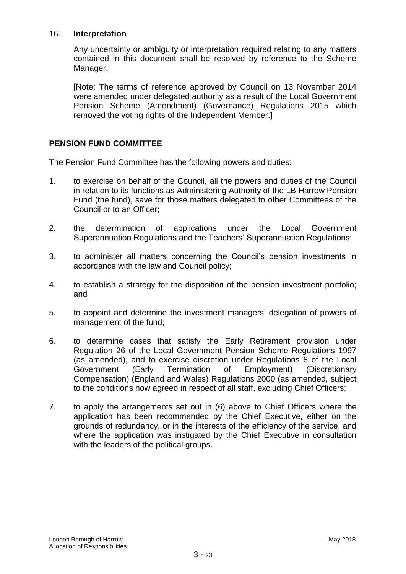### 16. **Interpretation**

Any uncertainty or ambiguity or interpretation required relating to any matters contained in this document shall be resolved by reference to the Scheme Manager.

[Note: The terms of reference approved by Council on 13 November 2014 were amended under delegated authority as a result of the Local Government Pension Scheme (Amendment) (Governance) Regulations 2015 which removed the voting rights of the Independent Member.]

## **PENSION FUND COMMITTEE**

The Pension Fund Committee has the following powers and duties:

- 1. to exercise on behalf of the Council, all the powers and duties of the Council in relation to its functions as Administering Authority of the LB Harrow Pension Fund (the fund), save for those matters delegated to other Committees of the Council or to an Officer;
- 2. the determination of applications under the Local Government Superannuation Regulations and the Teachers' Superannuation Regulations;
- 3. to administer all matters concerning the Council's pension investments in accordance with the law and Council policy;
- 4. to establish a strategy for the disposition of the pension investment portfolio; and
- 5. to appoint and determine the investment managers' delegation of powers of management of the fund;
- 6. to determine cases that satisfy the Early Retirement provision under Regulation 26 of the Local Government Pension Scheme Regulations 1997 (as amended), and to exercise discretion under Regulations 8 of the Local Government (Early Termination of Employment) (Discretionary Compensation) (England and Wales) Regulations 2000 (as amended, subject to the conditions now agreed in respect of all staff, excluding Chief Officers;
- 7. to apply the arrangements set out in (6) above to Chief Officers where the application has been recommended by the Chief Executive, either on the grounds of redundancy, or in the interests of the efficiency of the service, and where the application was instigated by the Chief Executive in consultation with the leaders of the political groups.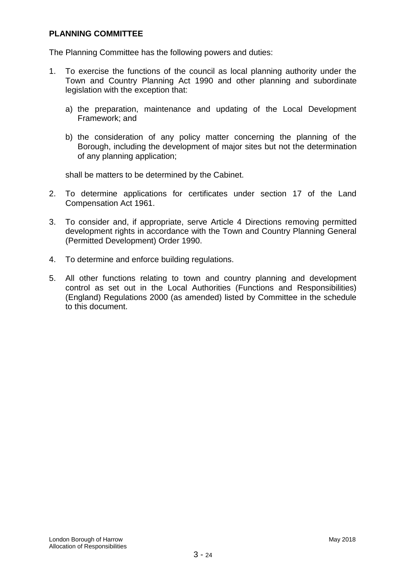## **PLANNING COMMITTEE**

The Planning Committee has the following powers and duties:

- 1. To exercise the functions of the council as local planning authority under the Town and Country Planning Act 1990 and other planning and subordinate legislation with the exception that:
	- a) the preparation, maintenance and updating of the Local Development Framework; and
	- b) the consideration of any policy matter concerning the planning of the Borough, including the development of major sites but not the determination of any planning application;

shall be matters to be determined by the Cabinet.

- 2. To determine applications for certificates under section 17 of the Land Compensation Act 1961.
- 3. To consider and, if appropriate, serve Article 4 Directions removing permitted development rights in accordance with the Town and Country Planning General (Permitted Development) Order 1990.
- 4. To determine and enforce building regulations.
- 5. All other functions relating to town and country planning and development control as set out in the Local Authorities (Functions and Responsibilities) (England) Regulations 2000 (as amended) listed by Committee in the schedule to this document.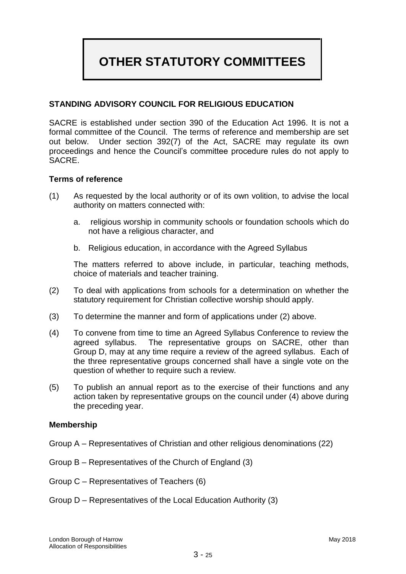# **OTHER STATUTORY COMMITTEES**

# **STANDING ADVISORY COUNCIL FOR RELIGIOUS EDUCATION**

SACRE is established under section 390 of the Education Act 1996. It is not a formal committee of the Council. The terms of reference and membership are set out below. Under section 392(7) of the Act, SACRE may regulate its own proceedings and hence the Council's committee procedure rules do not apply to SACRE.

#### **Terms of reference**

- (1) As requested by the local authority or of its own volition, to advise the local authority on matters connected with:
	- a. religious worship in community schools or foundation schools which do not have a religious character, and
	- b. Religious education, in accordance with the Agreed Syllabus

The matters referred to above include, in particular, teaching methods, choice of materials and teacher training.

- (2) To deal with applications from schools for a determination on whether the statutory requirement for Christian collective worship should apply.
- (3) To determine the manner and form of applications under (2) above.
- (4) To convene from time to time an Agreed Syllabus Conference to review the agreed syllabus. The representative groups on SACRE, other than Group D, may at any time require a review of the agreed syllabus. Each of the three representative groups concerned shall have a single vote on the question of whether to require such a review.
- (5) To publish an annual report as to the exercise of their functions and any action taken by representative groups on the council under (4) above during the preceding year.

#### **Membership**

- Group A Representatives of Christian and other religious denominations (22)
- Group B Representatives of the Church of England (3)
- Group C Representatives of Teachers (6)
- Group D Representatives of the Local Education Authority (3)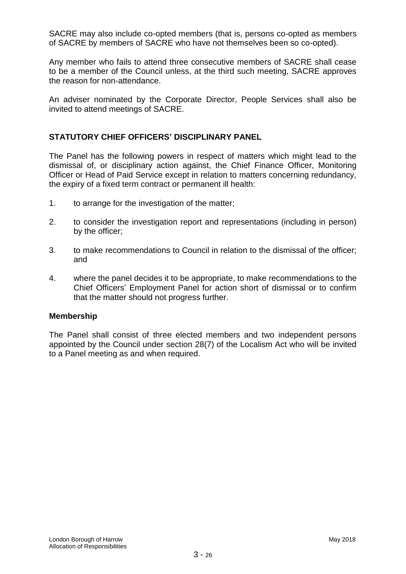SACRE may also include co-opted members (that is, persons co-opted as members of SACRE by members of SACRE who have not themselves been so co-opted).

Any member who fails to attend three consecutive members of SACRE shall cease to be a member of the Council unless, at the third such meeting, SACRE approves the reason for non-attendance.

An adviser nominated by the Corporate Director, People Services shall also be invited to attend meetings of SACRE.

## **STATUTORY CHIEF OFFICERS' DISCIPLINARY PANEL**

The Panel has the following powers in respect of matters which might lead to the dismissal of, or disciplinary action against, the Chief Finance Officer, Monitoring Officer or Head of Paid Service except in relation to matters concerning redundancy, the expiry of a fixed term contract or permanent ill health:

- 1. to arrange for the investigation of the matter;
- 2. to consider the investigation report and representations (including in person) by the officer;
- 3. to make recommendations to Council in relation to the dismissal of the officer; and
- 4. where the panel decides it to be appropriate, to make recommendations to the Chief Officers' Employment Panel for action short of dismissal or to confirm that the matter should not progress further.

#### **Membership**

The Panel shall consist of three elected members and two independent persons appointed by the Council under section 28(7) of the Localism Act who will be invited to a Panel meeting as and when required.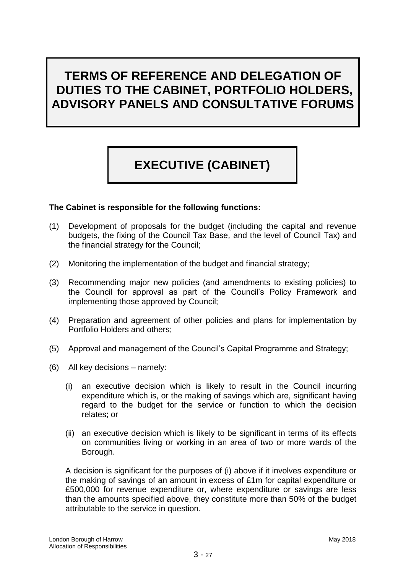# **TERMS OF REFERENCE AND DELEGATION OF DUTIES TO THE CABINET, PORTFOLIO HOLDERS, ADVISORY PANELS AND CONSULTATIVE FORUMS**

# **EXECUTIVE (CABINET)**

## **The Cabinet is responsible for the following functions:**

- (1) Development of proposals for the budget (including the capital and revenue budgets, the fixing of the Council Tax Base*,* and the level of Council Tax) and the financial strategy for the Council;
- (2) Monitoring the implementation of the budget and financial strategy;
- (3) Recommending major new policies (and amendments to existing policies) to the Council for approval as part of the Council's Policy Framework and implementing those approved by Council;
- (4) Preparation and agreement of other policies and plans for implementation by Portfolio Holders and others;
- (5) Approval and management of the Council's Capital Programme and Strategy;
- (6) All key decisions namely:
	- (i) an executive decision which is likely to result in the Council incurring expenditure which is, or the making of savings which are, significant having regard to the budget for the service or function to which the decision relates; or
	- (ii) an executive decision which is likely to be significant in terms of its effects on communities living or working in an area of two or more wards of the Borough.

A decision is significant for the purposes of (i) above if it involves expenditure or the making of savings of an amount in excess of £1m for capital expenditure or £500,000 for revenue expenditure or, where expenditure or savings are less than the amounts specified above, they constitute more than 50% of the budget attributable to the service in question.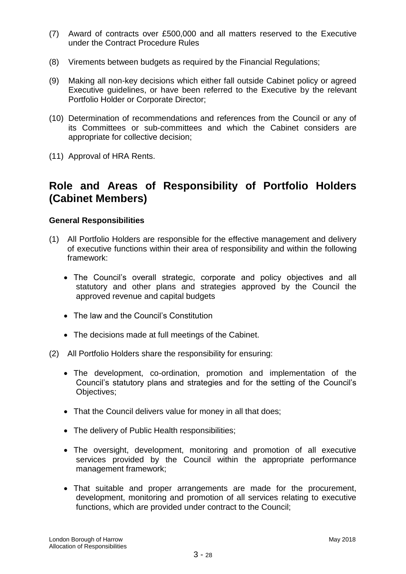- (7) Award of contracts over £500,000 and all matters reserved to the Executive under the Contract Procedure Rules
- (8) Virements between budgets as required by the Financial Regulations;
- (9) Making all non-key decisions which either fall outside Cabinet policy or agreed Executive guidelines, or have been referred to the Executive by the relevant Portfolio Holder or Corporate Director;
- (10) Determination of recommendations and references from the Council or any of its Committees or sub-committees and which the Cabinet considers are appropriate for collective decision;
- (11) Approval of HRA Rents.

# **Role and Areas of Responsibility of Portfolio Holders (Cabinet Members)**

## **General Responsibilities**

- (1) All Portfolio Holders are responsible for the effective management and delivery of executive functions within their area of responsibility and within the following framework:
	- The Council's overall strategic, corporate and policy objectives and all statutory and other plans and strategies approved by the Council the approved revenue and capital budgets
	- The law and the Council's Constitution
	- The decisions made at full meetings of the Cabinet.
- (2) All Portfolio Holders share the responsibility for ensuring:
	- The development, co-ordination, promotion and implementation of the Council's statutory plans and strategies and for the setting of the Council's Objectives;
	- That the Council delivers value for money in all that does;
	- The delivery of Public Health responsibilities;
	- The oversight, development, monitoring and promotion of all executive services provided by the Council within the appropriate performance management framework;
	- That suitable and proper arrangements are made for the procurement, development, monitoring and promotion of all services relating to executive functions, which are provided under contract to the Council;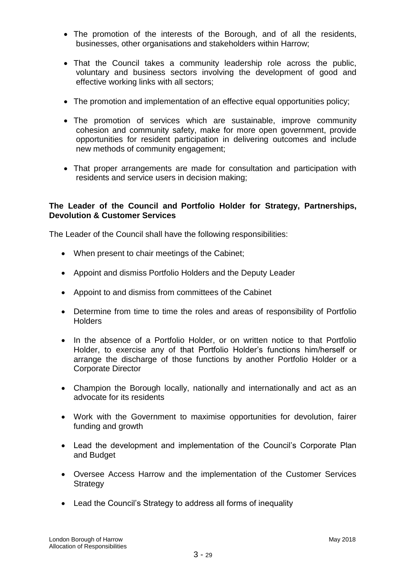- The promotion of the interests of the Borough, and of all the residents, businesses, other organisations and stakeholders within Harrow;
- That the Council takes a community leadership role across the public, voluntary and business sectors involving the development of good and effective working links with all sectors;
- The promotion and implementation of an effective equal opportunities policy;
- The promotion of services which are sustainable, improve community cohesion and community safety, make for more open government, provide opportunities for resident participation in delivering outcomes and include new methods of community engagement;
- That proper arrangements are made for consultation and participation with residents and service users in decision making;

# **The Leader of the Council and Portfolio Holder for Strategy, Partnerships, Devolution & Customer Services**

The Leader of the Council shall have the following responsibilities:

- When present to chair meetings of the Cabinet;
- Appoint and dismiss Portfolio Holders and the Deputy Leader
- Appoint to and dismiss from committees of the Cabinet
- Determine from time to time the roles and areas of responsibility of Portfolio **Holders**
- In the absence of a Portfolio Holder, or on written notice to that Portfolio Holder, to exercise any of that Portfolio Holder's functions him/herself or arrange the discharge of those functions by another Portfolio Holder or a Corporate Director
- Champion the Borough locally, nationally and internationally and act as an advocate for its residents
- Work with the Government to maximise opportunities for devolution, fairer funding and growth
- Lead the development and implementation of the Council's Corporate Plan and Budget
- Oversee Access Harrow and the implementation of the Customer Services **Strategy**
- Lead the Council's Strategy to address all forms of inequality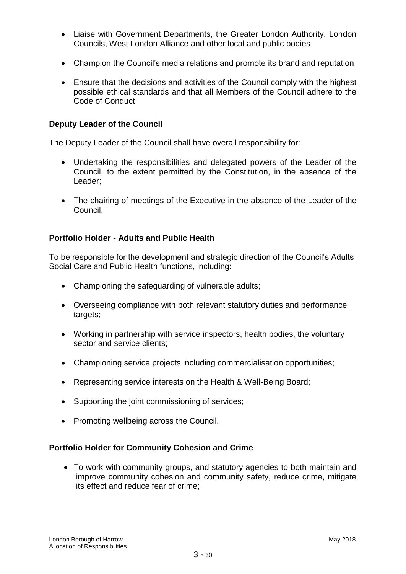- Liaise with Government Departments, the Greater London Authority, London Councils, West London Alliance and other local and public bodies
- Champion the Council's media relations and promote its brand and reputation
- Ensure that the decisions and activities of the Council comply with the highest possible ethical standards and that all Members of the Council adhere to the Code of Conduct.

## **Deputy Leader of the Council**

The Deputy Leader of the Council shall have overall responsibility for:

- Undertaking the responsibilities and delegated powers of the Leader of the Council, to the extent permitted by the Constitution, in the absence of the Leader;
- The chairing of meetings of the Executive in the absence of the Leader of the Council.

## **Portfolio Holder - Adults and Public Health**

To be responsible for the development and strategic direction of the Council's Adults Social Care and Public Health functions, including:

- Championing the safeguarding of vulnerable adults;
- Overseeing compliance with both relevant statutory duties and performance targets;
- Working in partnership with service inspectors, health bodies, the voluntary sector and service clients;
- Championing service projects including commercialisation opportunities;
- Representing service interests on the Health & Well-Being Board;
- Supporting the joint commissioning of services;
- Promoting wellbeing across the Council.

#### **Portfolio Holder for Community Cohesion and Crime**

 To work with community groups, and statutory agencies to both maintain and improve community cohesion and community safety, reduce crime, mitigate its effect and reduce fear of crime;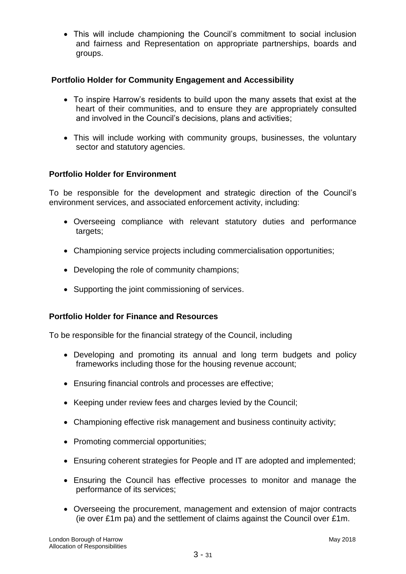This will include championing the Council's commitment to social inclusion and fairness and Representation on appropriate partnerships, boards and groups.

# **Portfolio Holder for Community Engagement and Accessibility**

- To inspire Harrow's residents to build upon the many assets that exist at the heart of their communities, and to ensure they are appropriately consulted and involved in the Council's decisions, plans and activities;
- This will include working with community groups, businesses, the voluntary sector and statutory agencies.

## **Portfolio Holder for Environment**

To be responsible for the development and strategic direction of the Council's environment services, and associated enforcement activity, including:

- Overseeing compliance with relevant statutory duties and performance targets;
- Championing service projects including commercialisation opportunities;
- Developing the role of community champions;
- Supporting the joint commissioning of services.

## **Portfolio Holder for Finance and Resources**

To be responsible for the financial strategy of the Council, including

- Developing and promoting its annual and long term budgets and policy frameworks including those for the housing revenue account;
- Ensuring financial controls and processes are effective;
- Keeping under review fees and charges levied by the Council;
- Championing effective risk management and business continuity activity;
- Promoting commercial opportunities;
- Ensuring coherent strategies for People and IT are adopted and implemented;
- Ensuring the Council has effective processes to monitor and manage the performance of its services;
- Overseeing the procurement, management and extension of major contracts (ie over £1m pa) and the settlement of claims against the Council over £1m.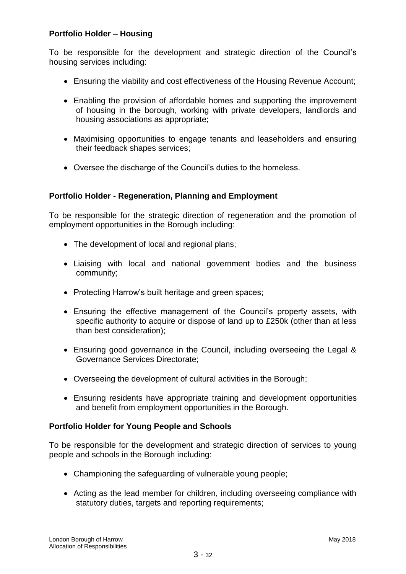# **Portfolio Holder – Housing**

To be responsible for the development and strategic direction of the Council's housing services including:

- Ensuring the viability and cost effectiveness of the Housing Revenue Account;
- Enabling the provision of affordable homes and supporting the improvement of housing in the borough, working with private developers, landlords and housing associations as appropriate;
- Maximising opportunities to engage tenants and leaseholders and ensuring their feedback shapes services;
- Oversee the discharge of the Council's duties to the homeless.

# **Portfolio Holder - Regeneration, Planning and Employment**

To be responsible for the strategic direction of regeneration and the promotion of employment opportunities in the Borough including:

- The development of local and regional plans;
- Liaising with local and national government bodies and the business community;
- Protecting Harrow's built heritage and green spaces;
- Ensuring the effective management of the Council's property assets, with specific authority to acquire or dispose of land up to £250k (other than at less than best consideration);
- Ensuring good governance in the Council, including overseeing the Legal & Governance Services Directorate;
- Overseeing the development of cultural activities in the Borough;
- Ensuring residents have appropriate training and development opportunities and benefit from employment opportunities in the Borough.

## **Portfolio Holder for Young People and Schools**

To be responsible for the development and strategic direction of services to young people and schools in the Borough including:

- Championing the safeguarding of vulnerable young people;
- Acting as the lead member for children, including overseeing compliance with statutory duties, targets and reporting requirements;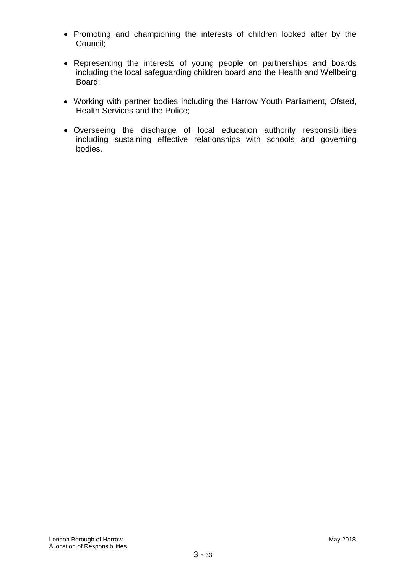- Promoting and championing the interests of children looked after by the Council;
- Representing the interests of young people on partnerships and boards including the local safeguarding children board and the Health and Wellbeing Board;
- Working with partner bodies including the Harrow Youth Parliament, Ofsted, Health Services and the Police;
- Overseeing the discharge of local education authority responsibilities including sustaining effective relationships with schools and governing bodies.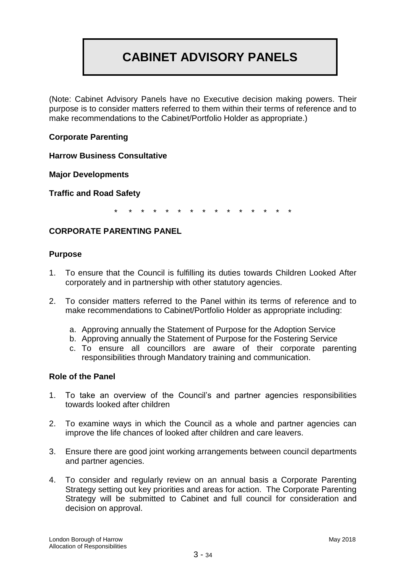# **CABINET ADVISORY PANELS**

(Note: Cabinet Advisory Panels have no Executive decision making powers. Their purpose is to consider matters referred to them within their terms of reference and to make recommendations to the Cabinet/Portfolio Holder as appropriate.)

# **Corporate Parenting**

**Harrow Business Consultative** 

**Major Developments**

**Traffic and Road Safety**

\* \* \* \* \* \* \* \* \* \* \* \* \* \* \*

## **CORPORATE PARENTING PANEL**

#### **Purpose**

- 1. To ensure that the Council is fulfilling its duties towards Children Looked After corporately and in partnership with other statutory agencies.
- 2. To consider matters referred to the Panel within its terms of reference and to make recommendations to Cabinet/Portfolio Holder as appropriate including:
	- a. Approving annually the Statement of Purpose for the Adoption Service
	- b. Approving annually the Statement of Purpose for the Fostering Service
	- c. To ensure all councillors are aware of their corporate parenting responsibilities through Mandatory training and communication.

## **Role of the Panel**

- 1. To take an overview of the Council's and partner agencies responsibilities towards looked after children
- 2. To examine ways in which the Council as a whole and partner agencies can improve the life chances of looked after children and care leavers.
- 3. Ensure there are good joint working arrangements between council departments and partner agencies.
- 4. To consider and regularly review on an annual basis a Corporate Parenting Strategy setting out key priorities and areas for action. The Corporate Parenting Strategy will be submitted to Cabinet and full council for consideration and decision on approval.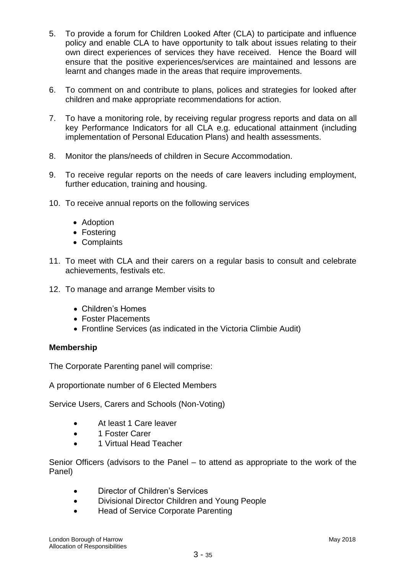- 5. To provide a forum for Children Looked After (CLA) to participate and influence policy and enable CLA to have opportunity to talk about issues relating to their own direct experiences of services they have received. Hence the Board will ensure that the positive experiences/services are maintained and lessons are learnt and changes made in the areas that require improvements.
- 6. To comment on and contribute to plans, polices and strategies for looked after children and make appropriate recommendations for action.
- 7. To have a monitoring role, by receiving regular progress reports and data on all key Performance Indicators for all CLA e.g. educational attainment (including implementation of Personal Education Plans) and health assessments.
- 8. Monitor the plans/needs of children in Secure Accommodation.
- 9. To receive regular reports on the needs of care leavers including employment, further education, training and housing.
- 10. To receive annual reports on the following services
	- Adoption
	- Fostering
	- Complaints
- 11. To meet with CLA and their carers on a regular basis to consult and celebrate achievements, festivals etc.
- 12. To manage and arrange Member visits to
	- Children's Homes
	- Foster Placements
	- Frontline Services (as indicated in the Victoria Climbie Audit)

## **Membership**

The Corporate Parenting panel will comprise:

A proportionate number of 6 Elected Members

Service Users, Carers and Schools (Non-Voting)

- At least 1 Care leaver
- 1 Foster Carer
- 1 Virtual Head Teacher

Senior Officers (advisors to the Panel – to attend as appropriate to the work of the Panel)

- Director of Children's Services
- Divisional Director Children and Young People
- Head of Service Corporate Parenting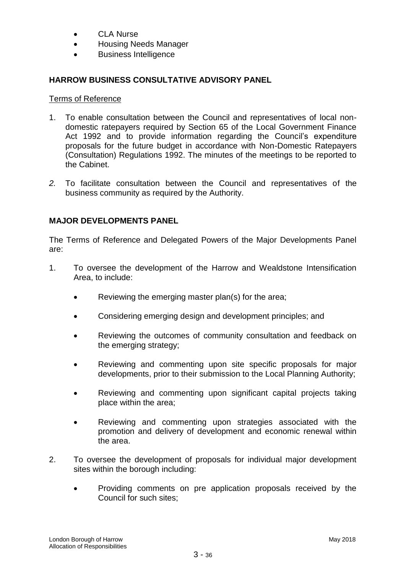- CLA Nurse
- Housing Needs Manager
- Business Intelligence

# **HARROW BUSINESS CONSULTATIVE ADVISORY PANEL**

## Terms of Reference

- 1. To enable consultation between the Council and representatives of local nondomestic ratepayers required by Section 65 of the Local Government Finance Act 1992 and to provide information regarding the Council's expenditure proposals for the future budget in accordance with Non-Domestic Ratepayers (Consultation) Regulations 1992. The minutes of the meetings to be reported to the Cabinet.
- *2.* To facilitate consultation between the Council and representatives of the business community as required by the Authority.

# **MAJOR DEVELOPMENTS PANEL**

The Terms of Reference and Delegated Powers of the Major Developments Panel are:

- 1. To oversee the development of the Harrow and Wealdstone Intensification Area, to include:
	- Reviewing the emerging master plan(s) for the area;
	- Considering emerging design and development principles; and
	- Reviewing the outcomes of community consultation and feedback on the emerging strategy;
	- Reviewing and commenting upon site specific proposals for major developments, prior to their submission to the Local Planning Authority;
	- Reviewing and commenting upon significant capital projects taking place within the area;
	- Reviewing and commenting upon strategies associated with the promotion and delivery of development and economic renewal within the area.
- 2. To oversee the development of proposals for individual major development sites within the borough including:
	- Providing comments on pre application proposals received by the Council for such sites;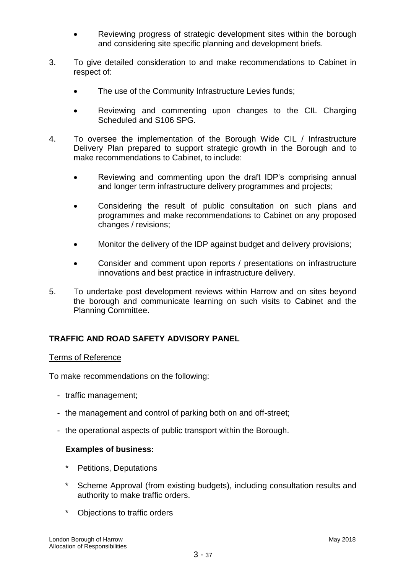- Reviewing progress of strategic development sites within the borough and considering site specific planning and development briefs.
- 3. To give detailed consideration to and make recommendations to Cabinet in respect of:
	- The use of the Community Infrastructure Levies funds;
	- Reviewing and commenting upon changes to the CIL Charging Scheduled and S106 SPG.
- 4. To oversee the implementation of the Borough Wide CIL / Infrastructure Delivery Plan prepared to support strategic growth in the Borough and to make recommendations to Cabinet, to include:
	- Reviewing and commenting upon the draft IDP's comprising annual and longer term infrastructure delivery programmes and projects;
	- Considering the result of public consultation on such plans and programmes and make recommendations to Cabinet on any proposed changes / revisions;
	- Monitor the delivery of the IDP against budget and delivery provisions;
	- Consider and comment upon reports / presentations on infrastructure innovations and best practice in infrastructure delivery.
- 5. To undertake post development reviews within Harrow and on sites beyond the borough and communicate learning on such visits to Cabinet and the Planning Committee.

# **TRAFFIC AND ROAD SAFETY ADVISORY PANEL**

## Terms of Reference

To make recommendations on the following:

- traffic management;
- the management and control of parking both on and off-street;
- the operational aspects of public transport within the Borough.

## **Examples of business:**

- Petitions, Deputations
- Scheme Approval (from existing budgets), including consultation results and authority to make traffic orders.
- \* Objections to traffic orders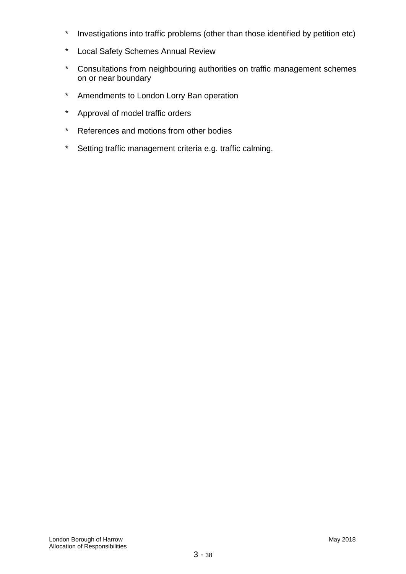- \* Investigations into traffic problems (other than those identified by petition etc)
- \* Local Safety Schemes Annual Review
- \* Consultations from neighbouring authorities on traffic management schemes on or near boundary
- \* Amendments to London Lorry Ban operation
- \* Approval of model traffic orders
- \* References and motions from other bodies
- \* Setting traffic management criteria e.g. traffic calming.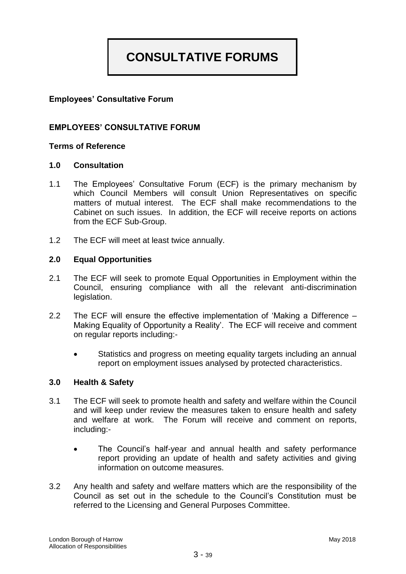# **CONSULTATIVE FORUMS**

# **Employees' Consultative Forum**

## **EMPLOYEES' CONSULTATIVE FORUM**

## **Terms of Reference**

#### **1.0 Consultation**

- 1.1 The Employees' Consultative Forum (ECF) is the primary mechanism by which Council Members will consult Union Representatives on specific matters of mutual interest. The ECF shall make recommendations to the Cabinet on such issues. In addition, the ECF will receive reports on actions from the ECF Sub-Group.
- 1.2 The ECF will meet at least twice annually.

#### **2.0 Equal Opportunities**

- 2.1 The ECF will seek to promote Equal Opportunities in Employment within the Council, ensuring compliance with all the relevant anti-discrimination legislation.
- 2.2 The ECF will ensure the effective implementation of 'Making a Difference Making Equality of Opportunity a Reality'. The ECF will receive and comment on regular reports including:-
	- Statistics and progress on meeting equality targets including an annual report on employment issues analysed by protected characteristics.

#### **3.0 Health & Safety**

- 3.1 The ECF will seek to promote health and safety and welfare within the Council and will keep under review the measures taken to ensure health and safety and welfare at work. The Forum will receive and comment on reports, including:-
	- The Council's half-year and annual health and safety performance report providing an update of health and safety activities and giving information on outcome measures.
- 3.2 Any health and safety and welfare matters which are the responsibility of the Council as set out in the schedule to the Council's Constitution must be referred to the Licensing and General Purposes Committee.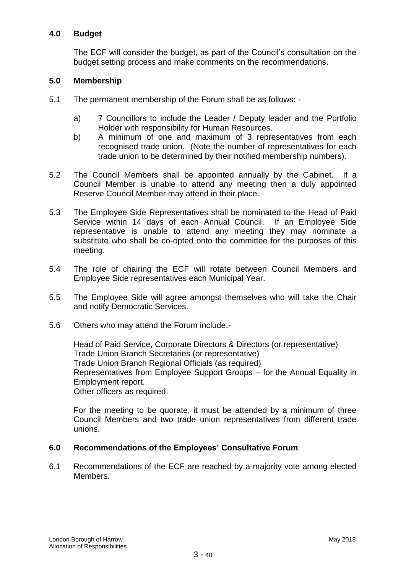## **4.0 Budget**

The ECF will consider the budget, as part of the Council's consultation on the budget setting process and make comments on the recommendations.

## **5.0 Membership**

- 5.1 The permanent membership of the Forum shall be as follows:
	- a) 7 Councillors to include the Leader / Deputy leader and the Portfolio Holder with responsibility for Human Resources.
	- b) A minimum of one and maximum of 3 representatives from each recognised trade union. (Note the number of representatives for each trade union to be determined by their notified membership numbers).
- 5.2 The Council Members shall be appointed annually by the Cabinet. If a Council Member is unable to attend any meeting then a duly appointed Reserve Council Member may attend in their place.
- 5.3 The Employee Side Representatives shall be nominated to the Head of Paid Service within 14 days of each Annual Council. If an Employee Side representative is unable to attend any meeting they may nominate a substitute who shall be co-opted onto the committee for the purposes of this meeting.
- 5.4 The role of chairing the ECF will rotate between Council Members and Employee Side representatives each Municipal Year.
- 5.5 The Employee Side will agree amongst themselves who will take the Chair and notify Democratic Services.
- 5.6 Others who may attend the Forum include:-

Head of Paid Service, Corporate Directors & Directors (or representative) Trade Union Branch Secretaries (or representative) Trade Union Branch Regional Officials (as required) Representatives from Employee Support Groups – for the Annual Equality in Employment report. Other officers as required.

For the meeting to be quorate, it must be attended by a minimum of three Council Members and two trade union representatives from different trade unions.

## **6.0 Recommendations of the Employees' Consultative Forum**

6.1 Recommendations of the ECF are reached by a majority vote among elected Members.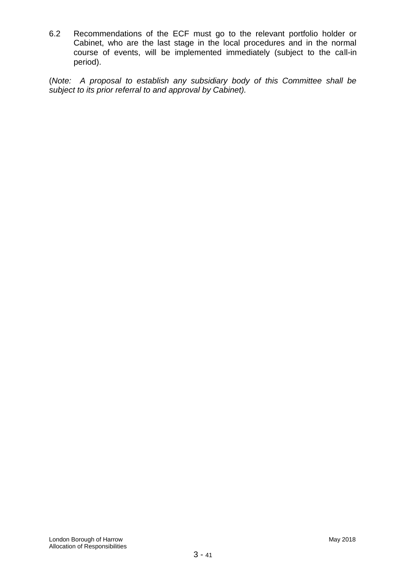6.2 Recommendations of the ECF must go to the relevant portfolio holder or Cabinet, who are the last stage in the local procedures and in the normal course of events, will be implemented immediately (subject to the call-in period).

(*Note: A proposal to establish any subsidiary body of this Committee shall be subject to its prior referral to and approval by Cabinet).*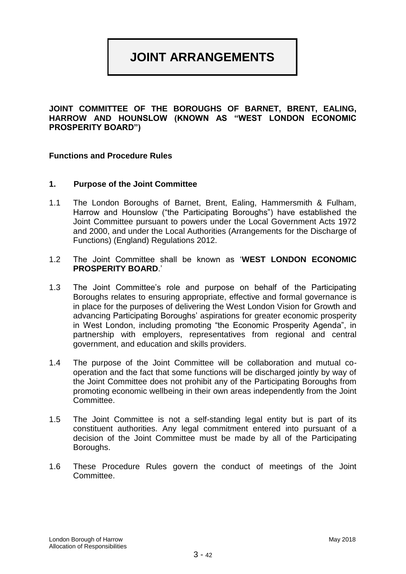# **JOINT ARRANGEMENTS**

**JOINT COMMITTEE OF THE BOROUGHS OF BARNET, BRENT, EALING, HARROW AND HOUNSLOW (KNOWN AS "WEST LONDON ECONOMIC PROSPERITY BOARD")**

#### **Functions and Procedure Rules**

#### **1. Purpose of the Joint Committee**

- 1.1 The London Boroughs of Barnet, Brent, Ealing, Hammersmith & Fulham, Harrow and Hounslow ("the Participating Boroughs") have established the Joint Committee pursuant to powers under the Local Government Acts 1972 and 2000, and under the Local Authorities (Arrangements for the Discharge of Functions) (England) Regulations 2012.
- 1.2 The Joint Committee shall be known as '**WEST LONDON ECONOMIC PROSPERITY BOARD**.'
- 1.3 The Joint Committee's role and purpose on behalf of the Participating Boroughs relates to ensuring appropriate, effective and formal governance is in place for the purposes of delivering the West London Vision for Growth and advancing Participating Boroughs' aspirations for greater economic prosperity in West London, including promoting "the Economic Prosperity Agenda", in partnership with employers, representatives from regional and central government, and education and skills providers.
- 1.4 The purpose of the Joint Committee will be collaboration and mutual cooperation and the fact that some functions will be discharged jointly by way of the Joint Committee does not prohibit any of the Participating Boroughs from promoting economic wellbeing in their own areas independently from the Joint Committee.
- 1.5 The Joint Committee is not a self-standing legal entity but is part of its constituent authorities. Any legal commitment entered into pursuant of a decision of the Joint Committee must be made by all of the Participating Boroughs.
- 1.6 These Procedure Rules govern the conduct of meetings of the Joint Committee.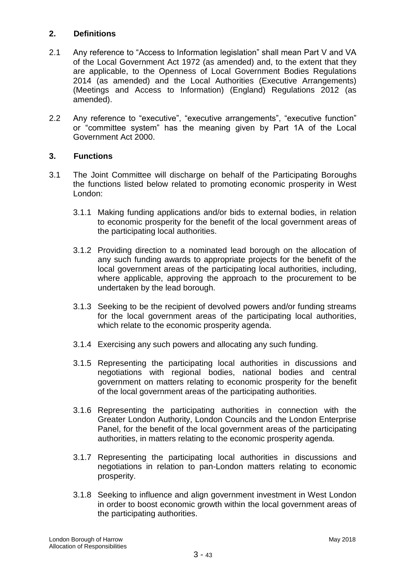# **2. Definitions**

- 2.1 Any reference to "Access to Information legislation" shall mean Part V and VA of the Local Government Act 1972 (as amended) and, to the extent that they are applicable, to the Openness of Local Government Bodies Regulations 2014 (as amended) and the Local Authorities (Executive Arrangements) (Meetings and Access to Information) (England) Regulations 2012 (as amended).
- 2.2 Any reference to "executive", "executive arrangements", "executive function" or "committee system" has the meaning given by Part 1A of the Local Government Act 2000.

# **3. Functions**

- 3.1 The Joint Committee will discharge on behalf of the Participating Boroughs the functions listed below related to promoting economic prosperity in West London:
	- 3.1.1 Making funding applications and/or bids to external bodies, in relation to economic prosperity for the benefit of the local government areas of the participating local authorities.
	- 3.1.2 Providing direction to a nominated lead borough on the allocation of any such funding awards to appropriate projects for the benefit of the local government areas of the participating local authorities, including, where applicable, approving the approach to the procurement to be undertaken by the lead borough.
	- 3.1.3 Seeking to be the recipient of devolved powers and/or funding streams for the local government areas of the participating local authorities, which relate to the economic prosperity agenda.
	- 3.1.4 Exercising any such powers and allocating any such funding.
	- 3.1.5 Representing the participating local authorities in discussions and negotiations with regional bodies, national bodies and central government on matters relating to economic prosperity for the benefit of the local government areas of the participating authorities.
	- 3.1.6 Representing the participating authorities in connection with the Greater London Authority, London Councils and the London Enterprise Panel, for the benefit of the local government areas of the participating authorities, in matters relating to the economic prosperity agenda.
	- 3.1.7 Representing the participating local authorities in discussions and negotiations in relation to pan-London matters relating to economic prosperity.
	- 3.1.8 Seeking to influence and align government investment in West London in order to boost economic growth within the local government areas of the participating authorities.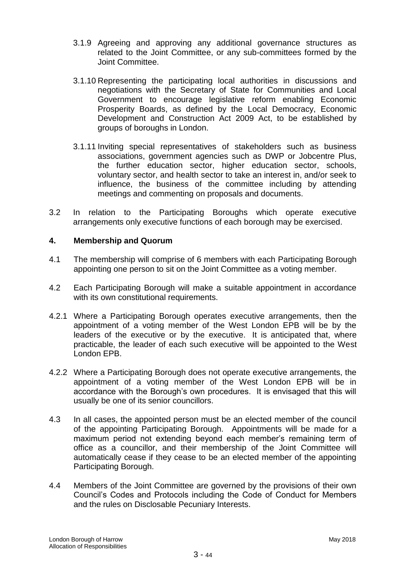- 3.1.9 Agreeing and approving any additional governance structures as related to the Joint Committee, or any sub-committees formed by the Joint Committee.
- 3.1.10 Representing the participating local authorities in discussions and negotiations with the Secretary of State for Communities and Local Government to encourage legislative reform enabling Economic Prosperity Boards, as defined by the Local Democracy, Economic Development and Construction Act 2009 Act, to be established by groups of boroughs in London.
- 3.1.11 Inviting special representatives of stakeholders such as business associations, government agencies such as DWP or Jobcentre Plus, the further education sector, higher education sector, schools, voluntary sector, and health sector to take an interest in, and/or seek to influence, the business of the committee including by attending meetings and commenting on proposals and documents.
- 3.2 In relation to the Participating Boroughs which operate executive arrangements only executive functions of each borough may be exercised.

#### **4. Membership and Quorum**

- 4.1 The membership will comprise of 6 members with each Participating Borough appointing one person to sit on the Joint Committee as a voting member.
- 4.2 Each Participating Borough will make a suitable appointment in accordance with its own constitutional requirements.
- 4.2.1 Where a Participating Borough operates executive arrangements, then the appointment of a voting member of the West London EPB will be by the leaders of the executive or by the executive. It is anticipated that, where practicable, the leader of each such executive will be appointed to the West London EPB.
- 4.2.2 Where a Participating Borough does not operate executive arrangements, the appointment of a voting member of the West London EPB will be in accordance with the Borough's own procedures. It is envisaged that this will usually be one of its senior councillors.
- 4.3 In all cases, the appointed person must be an elected member of the council of the appointing Participating Borough. Appointments will be made for a maximum period not extending beyond each member's remaining term of office as a councillor, and their membership of the Joint Committee will automatically cease if they cease to be an elected member of the appointing Participating Borough.
- 4.4 Members of the Joint Committee are governed by the provisions of their own Council's Codes and Protocols including the Code of Conduct for Members and the rules on Disclosable Pecuniary Interests.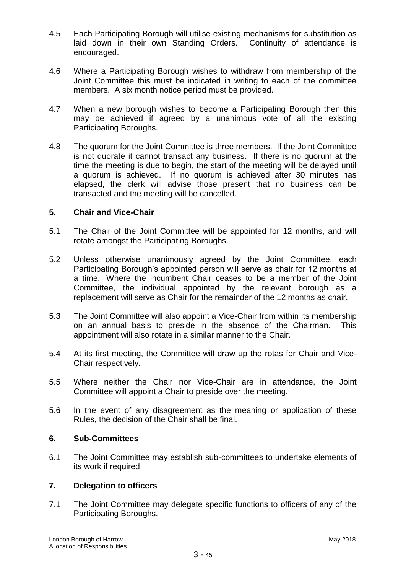- 4.5 Each Participating Borough will utilise existing mechanisms for substitution as laid down in their own Standing Orders. Continuity of attendance is encouraged.
- 4.6 Where a Participating Borough wishes to withdraw from membership of the Joint Committee this must be indicated in writing to each of the committee members. A six month notice period must be provided.
- 4.7 When a new borough wishes to become a Participating Borough then this may be achieved if agreed by a unanimous vote of all the existing Participating Boroughs.
- 4.8 The quorum for the Joint Committee is three members. If the Joint Committee is not quorate it cannot transact any business. If there is no quorum at the time the meeting is due to begin, the start of the meeting will be delayed until a quorum is achieved. If no quorum is achieved after 30 minutes has elapsed, the clerk will advise those present that no business can be transacted and the meeting will be cancelled.

## **5. Chair and Vice-Chair**

- 5.1 The Chair of the Joint Committee will be appointed for 12 months, and will rotate amongst the Participating Boroughs.
- 5.2 Unless otherwise unanimously agreed by the Joint Committee, each Participating Borough's appointed person will serve as chair for 12 months at a time. Where the incumbent Chair ceases to be a member of the Joint Committee, the individual appointed by the relevant borough as a replacement will serve as Chair for the remainder of the 12 months as chair.
- 5.3 The Joint Committee will also appoint a Vice-Chair from within its membership on an annual basis to preside in the absence of the Chairman. This appointment will also rotate in a similar manner to the Chair.
- 5.4 At its first meeting, the Committee will draw up the rotas for Chair and Vice-Chair respectively.
- 5.5 Where neither the Chair nor Vice-Chair are in attendance, the Joint Committee will appoint a Chair to preside over the meeting.
- 5.6 In the event of any disagreement as the meaning or application of these Rules, the decision of the Chair shall be final.

## **6. Sub-Committees**

6.1 The Joint Committee may establish sub-committees to undertake elements of its work if required.

## **7. Delegation to officers**

7.1 The Joint Committee may delegate specific functions to officers of any of the Participating Boroughs.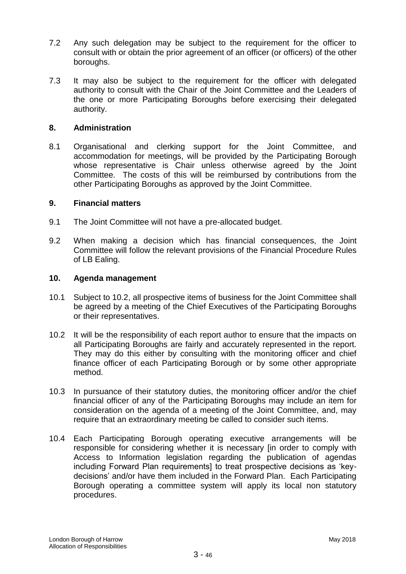- 7.2 Any such delegation may be subject to the requirement for the officer to consult with or obtain the prior agreement of an officer (or officers) of the other boroughs.
- 7.3 It may also be subject to the requirement for the officer with delegated authority to consult with the Chair of the Joint Committee and the Leaders of the one or more Participating Boroughs before exercising their delegated authority.

### **8. Administration**

8.1 Organisational and clerking support for the Joint Committee, and accommodation for meetings, will be provided by the Participating Borough whose representative is Chair unless otherwise agreed by the Joint Committee. The costs of this will be reimbursed by contributions from the other Participating Boroughs as approved by the Joint Committee.

#### **9. Financial matters**

- 9.1 The Joint Committee will not have a pre-allocated budget.
- 9.2 When making a decision which has financial consequences, the Joint Committee will follow the relevant provisions of the Financial Procedure Rules of LB Ealing.

#### **10. Agenda management**

- 10.1 Subject to 10.2, all prospective items of business for the Joint Committee shall be agreed by a meeting of the Chief Executives of the Participating Boroughs or their representatives.
- 10.2 It will be the responsibility of each report author to ensure that the impacts on all Participating Boroughs are fairly and accurately represented in the report. They may do this either by consulting with the monitoring officer and chief finance officer of each Participating Borough or by some other appropriate method.
- 10.3 In pursuance of their statutory duties, the monitoring officer and/or the chief financial officer of any of the Participating Boroughs may include an item for consideration on the agenda of a meeting of the Joint Committee, and, may require that an extraordinary meeting be called to consider such items.
- 10.4 Each Participating Borough operating executive arrangements will be responsible for considering whether it is necessary [in order to comply with Access to Information legislation regarding the publication of agendas including Forward Plan requirements] to treat prospective decisions as 'keydecisions' and/or have them included in the Forward Plan. Each Participating Borough operating a committee system will apply its local non statutory procedures.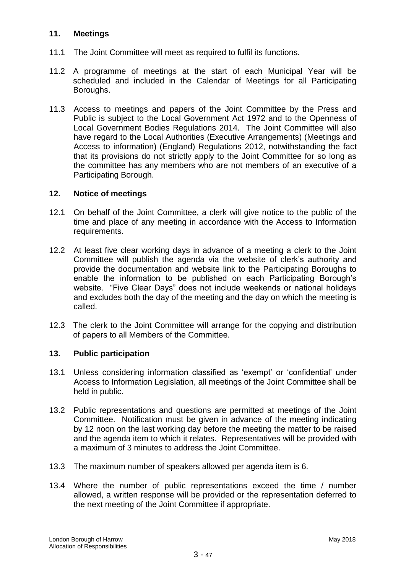## **11. Meetings**

- 11.1 The Joint Committee will meet as required to fulfil its functions.
- 11.2 A programme of meetings at the start of each Municipal Year will be scheduled and included in the Calendar of Meetings for all Participating Boroughs.
- 11.3 Access to meetings and papers of the Joint Committee by the Press and Public is subject to the Local Government Act 1972 and to the Openness of Local Government Bodies Regulations 2014. The Joint Committee will also have regard to the Local Authorities (Executive Arrangements) (Meetings and Access to information) (England) Regulations 2012, notwithstanding the fact that its provisions do not strictly apply to the Joint Committee for so long as the committee has any members who are not members of an executive of a Participating Borough.

## **12. Notice of meetings**

- 12.1 On behalf of the Joint Committee, a clerk will give notice to the public of the time and place of any meeting in accordance with the Access to Information requirements.
- 12.2 At least five clear working days in advance of a meeting a clerk to the Joint Committee will publish the agenda via the website of clerk's authority and provide the documentation and website link to the Participating Boroughs to enable the information to be published on each Participating Borough's website. "Five Clear Days" does not include weekends or national holidays and excludes both the day of the meeting and the day on which the meeting is called.
- 12.3 The clerk to the Joint Committee will arrange for the copying and distribution of papers to all Members of the Committee.

## **13. Public participation**

- 13.1 Unless considering information classified as 'exempt' or 'confidential' under Access to Information Legislation, all meetings of the Joint Committee shall be held in public.
- 13.2 Public representations and questions are permitted at meetings of the Joint Committee. Notification must be given in advance of the meeting indicating by 12 noon on the last working day before the meeting the matter to be raised and the agenda item to which it relates. Representatives will be provided with a maximum of 3 minutes to address the Joint Committee.
- 13.3 The maximum number of speakers allowed per agenda item is 6.
- 13.4 Where the number of public representations exceed the time / number allowed, a written response will be provided or the representation deferred to the next meeting of the Joint Committee if appropriate.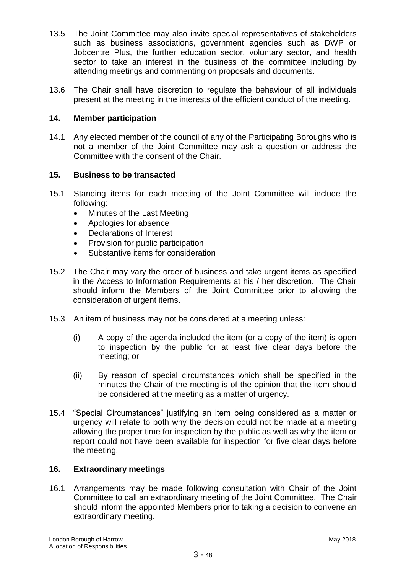- 13.5 The Joint Committee may also invite special representatives of stakeholders such as business associations, government agencies such as DWP or Jobcentre Plus, the further education sector, voluntary sector, and health sector to take an interest in the business of the committee including by attending meetings and commenting on proposals and documents.
- 13.6 The Chair shall have discretion to regulate the behaviour of all individuals present at the meeting in the interests of the efficient conduct of the meeting.

### **14. Member participation**

14.1 Any elected member of the council of any of the Participating Boroughs who is not a member of the Joint Committee may ask a question or address the Committee with the consent of the Chair.

## **15. Business to be transacted**

- 15.1 Standing items for each meeting of the Joint Committee will include the following:
	- Minutes of the Last Meeting
	- Apologies for absence
	- Declarations of Interest
	- Provision for public participation
	- Substantive items for consideration
- 15.2 The Chair may vary the order of business and take urgent items as specified in the Access to Information Requirements at his / her discretion. The Chair should inform the Members of the Joint Committee prior to allowing the consideration of urgent items.
- 15.3 An item of business may not be considered at a meeting unless:
	- (i) A copy of the agenda included the item (or a copy of the item) is open to inspection by the public for at least five clear days before the meeting; or
	- (ii) By reason of special circumstances which shall be specified in the minutes the Chair of the meeting is of the opinion that the item should be considered at the meeting as a matter of urgency.
- 15.4 "Special Circumstances" justifying an item being considered as a matter or urgency will relate to both why the decision could not be made at a meeting allowing the proper time for inspection by the public as well as why the item or report could not have been available for inspection for five clear days before the meeting.

## **16. Extraordinary meetings**

16.1 Arrangements may be made following consultation with Chair of the Joint Committee to call an extraordinary meeting of the Joint Committee. The Chair should inform the appointed Members prior to taking a decision to convene an extraordinary meeting.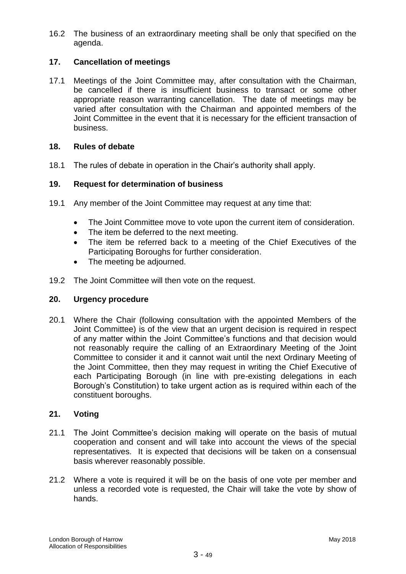16.2 The business of an extraordinary meeting shall be only that specified on the agenda.

# **17. Cancellation of meetings**

17.1 Meetings of the Joint Committee may, after consultation with the Chairman, be cancelled if there is insufficient business to transact or some other appropriate reason warranting cancellation. The date of meetings may be varied after consultation with the Chairman and appointed members of the Joint Committee in the event that it is necessary for the efficient transaction of business.

#### **18. Rules of debate**

18.1 The rules of debate in operation in the Chair's authority shall apply.

#### **19. Request for determination of business**

- 19.1 Any member of the Joint Committee may request at any time that:
	- The Joint Committee move to vote upon the current item of consideration.
	- The item be deferred to the next meeting.
	- The item be referred back to a meeting of the Chief Executives of the Participating Boroughs for further consideration.
	- The meeting be adjourned.
- 19.2 The Joint Committee will then vote on the request.

#### **20. Urgency procedure**

20.1 Where the Chair (following consultation with the appointed Members of the Joint Committee) is of the view that an urgent decision is required in respect of any matter within the Joint Committee's functions and that decision would not reasonably require the calling of an Extraordinary Meeting of the Joint Committee to consider it and it cannot wait until the next Ordinary Meeting of the Joint Committee, then they may request in writing the Chief Executive of each Participating Borough (in line with pre-existing delegations in each Borough's Constitution) to take urgent action as is required within each of the constituent boroughs.

## **21. Voting**

- 21.1 The Joint Committee's decision making will operate on the basis of mutual cooperation and consent and will take into account the views of the special representatives. It is expected that decisions will be taken on a consensual basis wherever reasonably possible.
- 21.2 Where a vote is required it will be on the basis of one vote per member and unless a recorded vote is requested, the Chair will take the vote by show of hands.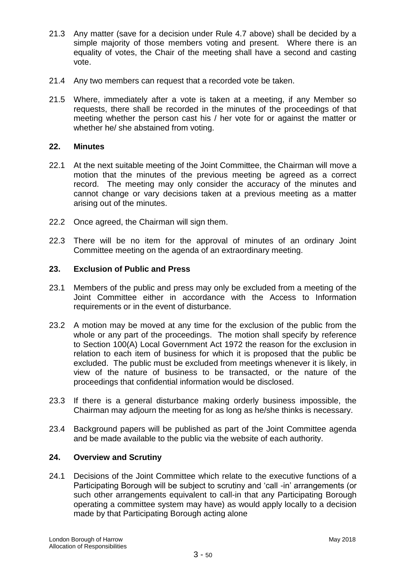- 21.3 Any matter (save for a decision under Rule 4.7 above) shall be decided by a simple majority of those members voting and present. Where there is an equality of votes, the Chair of the meeting shall have a second and casting vote.
- 21.4 Any two members can request that a recorded vote be taken.
- 21.5 Where, immediately after a vote is taken at a meeting, if any Member so requests, there shall be recorded in the minutes of the proceedings of that meeting whether the person cast his / her vote for or against the matter or whether he/ she abstained from voting.

## **22. Minutes**

- 22.1 At the next suitable meeting of the Joint Committee, the Chairman will move a motion that the minutes of the previous meeting be agreed as a correct record. The meeting may only consider the accuracy of the minutes and cannot change or vary decisions taken at a previous meeting as a matter arising out of the minutes.
- 22.2 Once agreed, the Chairman will sign them.
- 22.3 There will be no item for the approval of minutes of an ordinary Joint Committee meeting on the agenda of an extraordinary meeting.

# **23. Exclusion of Public and Press**

- 23.1 Members of the public and press may only be excluded from a meeting of the Joint Committee either in accordance with the Access to Information requirements or in the event of disturbance.
- 23.2 A motion may be moved at any time for the exclusion of the public from the whole or any part of the proceedings. The motion shall specify by reference to Section 100(A) Local Government Act 1972 the reason for the exclusion in relation to each item of business for which it is proposed that the public be excluded. The public must be excluded from meetings whenever it is likely, in view of the nature of business to be transacted, or the nature of the proceedings that confidential information would be disclosed.
- 23.3 If there is a general disturbance making orderly business impossible, the Chairman may adjourn the meeting for as long as he/she thinks is necessary.
- 23.4 Background papers will be published as part of the Joint Committee agenda and be made available to the public via the website of each authority.

## **24. Overview and Scrutiny**

24.1 Decisions of the Joint Committee which relate to the executive functions of a Participating Borough will be subject to scrutiny and 'call -in' arrangements (or such other arrangements equivalent to call-in that any Participating Borough operating a committee system may have) as would apply locally to a decision made by that Participating Borough acting alone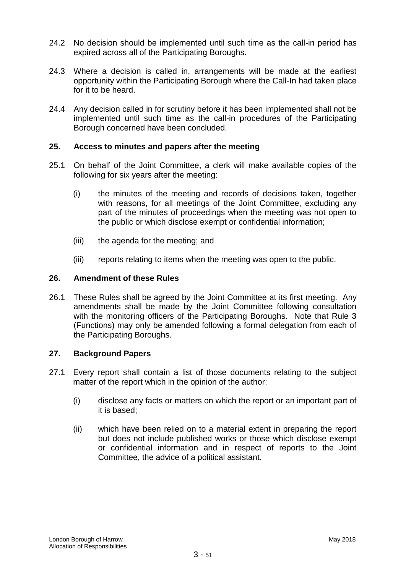- 24.2 No decision should be implemented until such time as the call-in period has expired across all of the Participating Boroughs.
- 24.3 Where a decision is called in, arrangements will be made at the earliest opportunity within the Participating Borough where the Call-In had taken place for it to be heard.
- 24.4 Any decision called in for scrutiny before it has been implemented shall not be implemented until such time as the call-in procedures of the Participating Borough concerned have been concluded.

## **25. Access to minutes and papers after the meeting**

- 25.1 On behalf of the Joint Committee, a clerk will make available copies of the following for six years after the meeting:
	- (i) the minutes of the meeting and records of decisions taken, together with reasons, for all meetings of the Joint Committee, excluding any part of the minutes of proceedings when the meeting was not open to the public or which disclose exempt or confidential information;
	- (iii) the agenda for the meeting; and
	- (iii) reports relating to items when the meeting was open to the public.

## **26. Amendment of these Rules**

26.1 These Rules shall be agreed by the Joint Committee at its first meeting. Any amendments shall be made by the Joint Committee following consultation with the monitoring officers of the Participating Boroughs. Note that Rule 3 (Functions) may only be amended following a formal delegation from each of the Participating Boroughs.

## **27. Background Papers**

- 27.1 Every report shall contain a list of those documents relating to the subject matter of the report which in the opinion of the author:
	- (i) disclose any facts or matters on which the report or an important part of it is based;
	- (ii) which have been relied on to a material extent in preparing the report but does not include published works or those which disclose exempt or confidential information and in respect of reports to the Joint Committee, the advice of a political assistant.